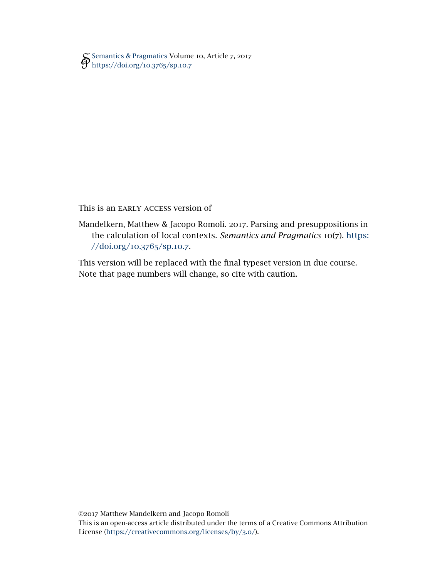[Semantics & Pragmatics](http://semprag.org/) Volume 10, Article 7, 2017 [https://doi.org/](https://doi.org/10.3765/sp.10.7)10.3765/sp.10.7

This is an early access version of

Mandelkern, Matthew & Jacopo Romoli. 2017. Parsing and presuppositions in the calculation of local contexts. *Semantics and Pragmatics* 10(7). [https:](https://doi.org/10.3765/sp.10.7) [//doi.org/](https://doi.org/10.3765/sp.10.7)10.3765/sp.10.7.

This version will be replaced with the final typeset version in due course. Note that page numbers will change, so cite with caution.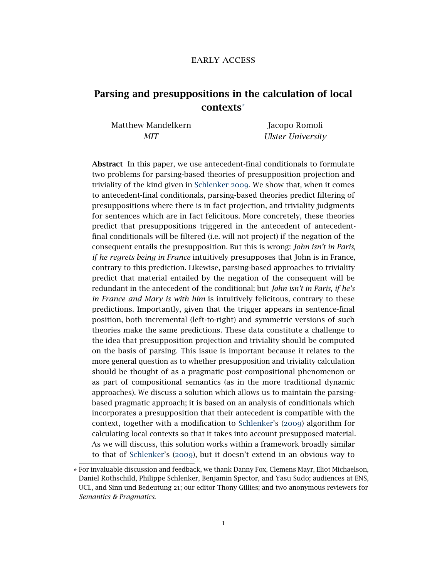### early access

# Parsing and presuppositions in the calculation of local contexts\*

Matthew Mandelkern *MIT*

Jacopo Romoli *Ulster University*

Abstract In this paper, we use antecedent-final conditionals to formulate two problems for parsing-based theories of presupposition projection and triviality of the kind given in [Schlenker](#page-39-0) [2009](#page-39-0). We show that, when it comes to antecedent-final conditionals, parsing-based theories predict filtering of presuppositions where there is in fact projection, and triviality judgments for sentences which are in fact felicitous. More concretely, these theories predict that presuppositions triggered in the antecedent of antecedentfinal conditionals will be filtered (i.e. will not project) if the negation of the consequent entails the presupposition. But this is wrong: *John isn't in Paris, if he regrets being in France* intuitively presupposes that John is in France, contrary to this prediction. Likewise, parsing-based approaches to triviality predict that material entailed by the negation of the consequent will be redundant in the antecedent of the conditional; but *John isn't in Paris, if he's in France and Mary is with him* is intuitively felicitous, contrary to these predictions. Importantly, given that the trigger appears in sentence-final position, both incremental (left-to-right) and symmetric versions of such theories make the same predictions. These data constitute a challenge to the idea that presupposition projection and triviality should be computed on the basis of parsing. This issue is important because it relates to the more general question as to whether presupposition and triviality calculation should be thought of as a pragmatic post-compositional phenomenon or as part of compositional semantics (as in the more traditional dynamic approaches). We discuss a solution which allows us to maintain the parsingbased pragmatic approach; it is based on an analysis of conditionals which incorporates a presupposition that their antecedent is compatible with the context, together with a modification to [Schlenker'](#page-39-0)s ([2009](#page-39-0)) algorithm for calculating local contexts so that it takes into account presupposed material. As we will discuss, this solution works within a framework broadly similar to that of [Schlenker'](#page-39-0)s ([2009](#page-39-0)), but it doesn't extend in an obvious way to

<sup>\*</sup> For invaluable discussion and feedback, we thank Danny Fox, Clemens Mayr, Eliot Michaelson, Daniel Rothschild, Philippe Schlenker, Benjamin Spector, and Yasu Sudo; audiences at ENS, UCL, and Sinn und Bedeutung 21; our editor Thony Gillies; and two anonymous reviewers for *Semantics & Pragmatics*.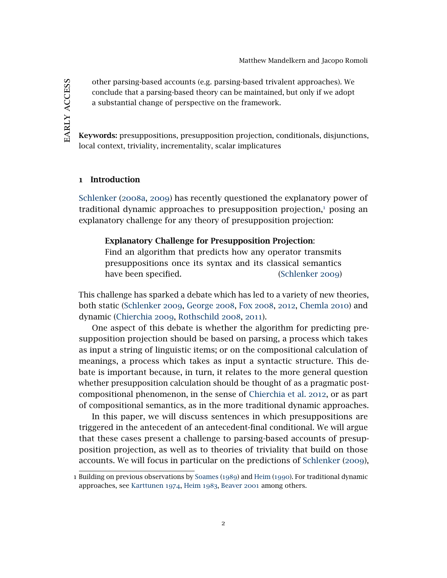other parsing-based accounts (e.g. parsing-based trivalent approaches). We conclude that a parsing-based theory can be maintained, but only if we adopt a substantial change of perspective on the framework.

Keywords: presuppositions, presupposition projection, conditionals, disjunctions, local context, triviality, incrementality, scalar implicatures

#### 1 Introduction

[Schlenker](#page-39-1) ([2008](#page-39-1)a, [2009](#page-39-0)) has recently questioned the explanatory power of traditional dynamic approaches to presupposition projection, $<sup>1</sup>$  $<sup>1</sup>$  $<sup>1</sup>$  posing an</sup> explanatory challenge for any theory of presupposition projection:

### Explanatory Challenge for Presupposition Projection:

Find an algorithm that predicts how any operator transmits presuppositions once its syntax and its classical semantics have been specified. [\(Schlenker](#page-39-0) [2009](#page-39-0))

This challenge has sparked a debate which has led to a variety of new theories, both static [\(Schlenker](#page-39-0) [2009](#page-39-0), [George](#page-38-0) [2008](#page-38-0), [Fox](#page-38-1) [2008](#page-38-1), [2012](#page-38-2), [Chemla](#page-37-0) [2010](#page-37-0)) and dynamic [\(Chierchia](#page-37-1) [2009](#page-37-1), [Rothschild](#page-39-2) [2008](#page-39-2), [2011](#page-39-3)).

One aspect of this debate is whether the algorithm for predicting presupposition projection should be based on parsing, a process which takes as input a string of linguistic items; or on the compositional calculation of meanings, a process which takes as input a syntactic structure. This debate is important because, in turn, it relates to the more general question whether presupposition calculation should be thought of as a pragmatic postcompositional phenomenon, in the sense of [Chierchia et al.](#page-37-2) [2012](#page-37-2), or as part of compositional semantics, as in the more traditional dynamic approaches.

In this paper, we will discuss sentences in which presuppositions are triggered in the antecedent of an antecedent-final conditional. We will argue that these cases present a challenge to parsing-based accounts of presupposition projection, as well as to theories of triviality that build on those accounts. We will focus in particular on the predictions of [Schlenker](#page-39-0) ([2009](#page-39-0)),

<span id="page-2-0"></span><sup>1</sup> Building on previous observations by [Soames](#page-40-0) ([1989](#page-40-0)) and [Heim](#page-38-3) ([1990](#page-38-3)). For traditional dynamic approaches, see [Karttunen](#page-38-4) [1974](#page-38-4), [Heim](#page-38-5) [1983](#page-38-5), [Beaver](#page-36-0) [2001](#page-36-0) among others.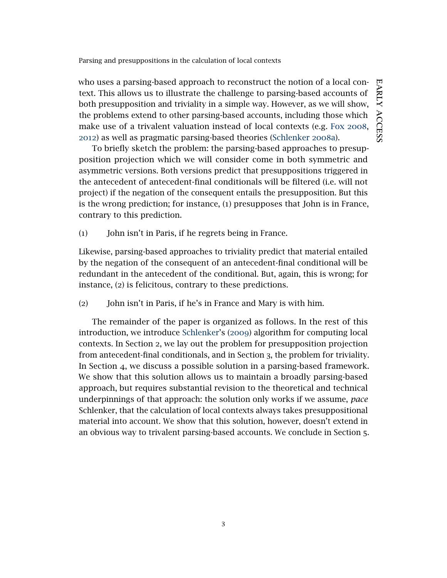who uses a parsing-based approach to reconstruct the notion of a local context. This allows us to illustrate the challenge to parsing-based accounts of both presupposition and triviality in a simple way. However, as we will show, the problems extend to other parsing-based accounts, including those which make use of a trivalent valuation instead of local contexts (e.g. [Fox](#page-38-1) [2008](#page-38-1), [2012](#page-38-2)) as well as pragmatic parsing-based theories [\(Schlenker](#page-39-1) [2008](#page-39-1)a).

To briefly sketch the problem: the parsing-based approaches to presupposition projection which we will consider come in both symmetric and asymmetric versions. Both versions predict that presuppositions triggered in the antecedent of antecedent-final conditionals will be filtered (i.e. will not project) if the negation of the consequent entails the presupposition. But this is the wrong prediction; for instance, (1) presupposes that John is in France, contrary to this prediction.

(1) John isn't in Paris, if he regrets being in France.

Likewise, parsing-based approaches to triviality predict that material entailed by the negation of the consequent of an antecedent-final conditional will be redundant in the antecedent of the conditional. But, again, this is wrong; for instance, (2) is felicitous, contrary to these predictions.

(2) John isn't in Paris, if he's in France and Mary is with him.

The remainder of the paper is organized as follows. In the rest of this introduction, we introduce [Schlenker'](#page-39-0)s ([2009](#page-39-0)) algorithm for computing local contexts. In Section 2, we lay out the problem for presupposition projection from antecedent-final conditionals, and in Section 3, the problem for triviality. In Section 4, we discuss a possible solution in a parsing-based framework. We show that this solution allows us to maintain a broadly parsing-based approach, but requires substantial revision to the theoretical and technical underpinnings of that approach: the solution only works if we assume, *pace* Schlenker, that the calculation of local contexts always takes presuppositional material into account. We show that this solution, however, doesn't extend in an obvious way to trivalent parsing-based accounts. We conclude in Section 5.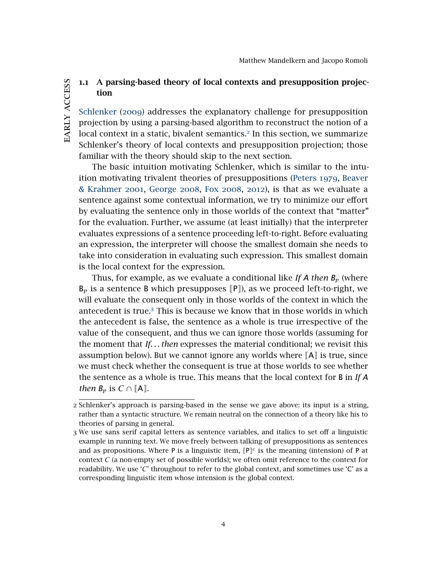# 1.1 A parsing-based theory of local contexts and presupposition projection

[Schlenker](#page-39-0) ([2009](#page-39-0)) addresses the explanatory challenge for presupposition projection by using a parsing-based algorithm to reconstruct the notion of a local context in a static, bivalent semantics.<sup>[2](#page-4-0)</sup> In this section, we summarize Schlenker's theory of local contexts and presupposition projection; those familiar with the theory should skip to the next section.

The basic intuition motivating Schlenker, which is similar to the intuition motivating trivalent theories of presuppositions [\(Peters](#page-39-4) [1979](#page-39-4), [Beaver](#page-37-3) [& Krahmer](#page-37-3) [2001](#page-37-3), [George](#page-38-0) [2008](#page-38-0), [Fox](#page-38-1) [2008](#page-38-1), [2012](#page-38-2)), is that as we evaluate a sentence against some contextual information, we try to minimize our effort by evaluating the sentence only in those worlds of the context that "matter" for the evaluation. Further, we assume (at least initially) that the interpreter evaluates expressions of a sentence proceeding left-to-right. Before evaluating an expression, the interpreter will choose the smallest domain she needs to take into consideration in evaluating such expression. This smallest domain is the local context for the expression.

Thus, for example, as we evaluate a conditional like *If* A *then*  $B_p$  (where  $B_p$  is a sentence B which presupposes  $[P]$ ), as we proceed left-to-right, we will evaluate the consequent only in those worlds of the context in which the antecedent is true.[3](#page-4-1) This is because we know that in those worlds in which the antecedent is false, the sentence as a whole is true irrespective of the value of the consequent, and thus we can ignore those worlds (assuming for the moment that *If. . .then* expresses the material conditional; we revisit this assumption below). But we cannot ignore any worlds where  $[A]$  is true, since we must check whether the consequent is true at those worlds to see whether the sentence as a whole is true. This means that the local context for B in *If A then*  $B_p$  *is*  $C \cap [A]$ *.* 

<span id="page-4-0"></span><sup>2</sup> Schlenker's approach is parsing-based in the sense we gave above: its input is a string, rather than a syntactic structure. We remain neutral on the connection of a theory like his to theories of parsing in general.

<span id="page-4-1"></span><sup>3</sup> We use sans serif capital letters as sentence variables, and italics to set off a linguistic example in running text. We move freely between talking of presuppositions as sentences and as propositions. Where P is a linguistic item,  $[P]^c$  is the meaning (intension) of P at context *C* (a non-empty set of possible worlds); we often omit reference to the context for readability. We use '*C*' throughout to refer to the global context, and sometimes use 'C' as a corresponding linguistic item whose intension is the global context.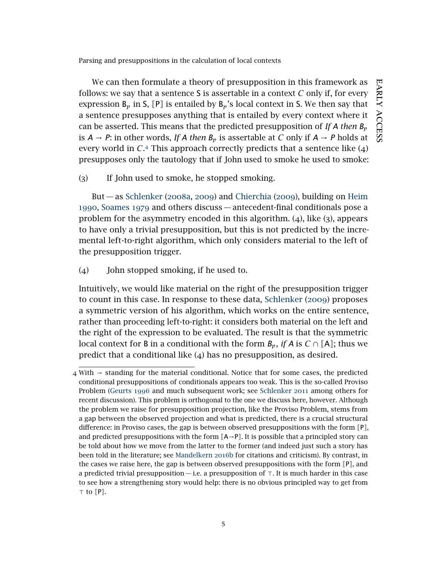We can then formulate a theory of presupposition in this framework as follows: we say that a sentence S is assertable in a context *C* only if, for every expression  $B_p$  in S,  $[P]$  is entailed by  $B_p$ 's local context in S. We then say that a sentence presupposes anything that is entailed by every context where it can be asserted. This means that the predicted presupposition of *If A then B<sup>p</sup>* is  $A \rightarrow P$ : in other words, If A then  $B_p$  is assertable at C only if  $A \rightarrow P$  holds at every world in  $C$ <sup>[4](#page-5-0)</sup> This approach correctly predicts that a sentence like (4) presupposes only the tautology that if John used to smoke he used to smoke:

### (3) If John used to smoke, he stopped smoking.

But — as [Schlenker](#page-39-1) ([2008](#page-39-1)a, [2009](#page-39-0)) and [Chierchia](#page-37-1) ([2009](#page-37-1)), building on [Heim](#page-38-3) [1990](#page-38-3), [Soames](#page-40-1) [1979](#page-40-1) and others discuss — antecedent-final conditionals pose a problem for the asymmetry encoded in this algorithm. (4), like (3), appears to have only a trivial presupposition, but this is not predicted by the incremental left-to-right algorithm, which only considers material to the left of the presupposition trigger.

(4) John stopped smoking, if he used to.

Intuitively, we would like material on the right of the presupposition trigger to count in this case. In response to these data, [Schlenker](#page-39-0) ([2009](#page-39-0)) proposes a symmetric version of his algorithm, which works on the entire sentence, rather than proceeding left-to-right: it considers both material on the left and the right of the expression to be evaluated. The result is that the symmetric local context for **B** in a conditional with the form  $B_p$ , if **A** is  $C \cap [A]$ ; thus we predict that a conditional like (4) has no presupposition, as desired.

<span id="page-5-0"></span> $4$  With  $\rightarrow$  standing for the material conditional. Notice that for some cases, the predicted conditional presuppositions of conditionals appears too weak. This is the so-called Proviso Problem [\(Geurts](#page-38-6) [1996](#page-38-6) and much subsequent work; see [Schlenker](#page-40-2) [2011](#page-40-2) among others for recent discussion). This problem is orthogonal to the one we discuss here, however. Although the problem we raise for presupposition projection, like the Proviso Problem, stems from a gap between the observed projection and what is predicted, there is a crucial structural difference: in Proviso cases, the gap is between observed presuppositions with the form  $[P]$ , and predicted presuppositions with the form  $[A \rightarrow P]$ . It is possible that a principled story can be told about how we move from the latter to the former (and indeed just such a story has been told in the literature; see [Mandelkern](#page-39-5) [2016](#page-39-5)b for citations and criticism). By contrast, in the cases we raise here, the gap is between observed presuppositions with the form  $[P]$ , and a predicted trivial presupposition  $-i.e.$  a presupposition of  $\tau$ . It is much harder in this case to see how a strengthening story would help: there is no obvious principled way to get from  $\top$  to [P].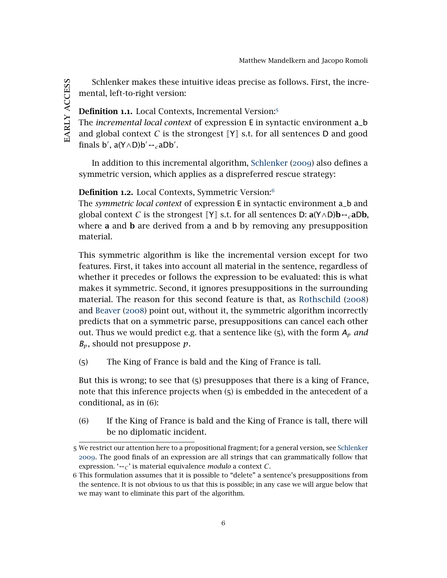Schlenker makes these intuitive ideas precise as follows. First, the incremental, left-to-right version:

Definition 1.1. Local Contexts, Incremental Version:[5](#page-6-0)

The *incremental local context* of expression E in syntactic environment a\_b and global context  $C$  is the strongest  $\lbrack Y \rbrack$  s.t. for all sentences D and good finals b',  $a(Y \wedge D)b' \leftrightarrow_c aDb'.$ 

In addition to this incremental algorithm, [Schlenker](#page-39-0) ([2009](#page-39-0)) also defines a symmetric version, which applies as a dispreferred rescue strategy:

Definition 1.2. Local Contexts, Symmetric Version:[6](#page-6-1)

The *symmetric local context* of expression E in syntactic environment a\_b and global context *C* is the strongest  $\llbracket Y \rrbracket$  s.t. for all sentences D: **a**(Y∧D)**b** $\leftrightarrow$ <sub>*c*</sub>**aDb**, where **a** and **b** are derived from **a** and **b** by removing any presupposition material.

This symmetric algorithm is like the incremental version except for two features. First, it takes into account all material in the sentence, regardless of whether it precedes or follows the expression to be evaluated: this is what makes it symmetric. Second, it ignores presuppositions in the surrounding material. The reason for this second feature is that, as [Rothschild](#page-39-2) ([2008](#page-39-2)) and [Beaver](#page-36-1) ([2008](#page-36-1)) point out, without it, the symmetric algorithm incorrectly predicts that on a symmetric parse, presuppositions can cancel each other out. Thus we would predict e.g. that a sentence like (5), with the form *A<sup>p</sup> and Bp*, should not presuppose *p*.

<span id="page-6-2"></span>(5) The King of France is bald and the King of France is tall.

But this is wrong; to see that (5) presupposes that there is a king of France, note that this inference projects when (5) is embedded in the antecedent of a conditional, as in (6):

(6) If the King of France is bald and the King of France is tall, there will be no diplomatic incident.

<span id="page-6-0"></span><sup>5</sup> We restrict our attention here to a propositional fragment; for a general version, see [Schlenker](#page-39-0) [2009](#page-39-0). The good finals of an expression are all strings that can grammatically follow that expression. ' $\leftrightarrow$ <sup>r</sup> is material equivalence *modulo* a context *C*.

<span id="page-6-1"></span><sup>6</sup> This formulation assumes that it is possible to "delete" a sentence's presuppositions from the sentence. It is not obvious to us that this is possible; in any case we will argue below that we may want to eliminate this part of the algorithm.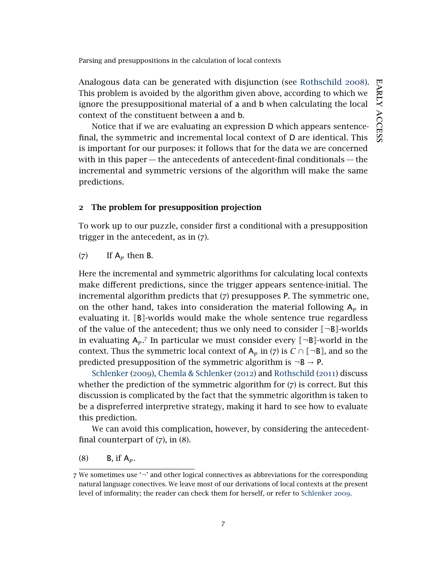EARLY ACCESS early access

Parsing and presuppositions in the calculation of local contexts

Analogous data can be generated with disjunction (see [Rothschild](#page-39-2) [2008](#page-39-2)). This problem is avoided by the algorithm given above, according to which we ignore the presuppositional material of a and b when calculating the local context of the constituent between a and b.

Notice that if we are evaluating an expression D which appears sentencefinal, the symmetric and incremental local context of D are identical. This is important for our purposes: it follows that for the data we are concerned with in this paper— the antecedents of antecedent-final conditionals— the incremental and symmetric versions of the algorithm will make the same predictions.

### 2 The problem for presupposition projection

To work up to our puzzle, consider first a conditional with a presupposition trigger in the antecedent, as in (7).

(7) If  $A_p$  then B.

Here the incremental and symmetric algorithms for calculating local contexts make different predictions, since the trigger appears sentence-initial. The incremental algorithm predicts that (7) presupposes P. The symmetric one, on the other hand, takes into consideration the material following  $A_p$  in evaluating it.  $\left[\mathbf{B}\right]$ -worlds would make the whole sentence true regardless of the value of the antecedent; thus we only need to consider  $\llbracket \neg B \rrbracket$ -worlds in evaluating  $A_p$ .<sup>[7](#page-7-0)</sup> In particular we must consider every  $\llbracket \neg B \rrbracket$ -world in the context. Thus the symmetric local context of  $A_p$  in (7) is  $C \cap \llbracket \neg B \rrbracket$ , and so the predicted presupposition of the symmetric algorithm is  $\neg B \rightarrow P$ .

[Schlenker](#page-39-0) ([2009](#page-39-0)), [Chemla & Schlenker](#page-37-4) ([2012](#page-37-4)) and [Rothschild](#page-39-3) ([2011](#page-39-3)) discuss whether the prediction of the symmetric algorithm for (7) is correct. But this discussion is complicated by the fact that the symmetric algorithm is taken to be a dispreferred interpretive strategy, making it hard to see how to evaluate this prediction.

We can avoid this complication, however, by considering the antecedentfinal counterpart of  $(7)$ , in  $(8)$ .

(8) B, if A*p*.

<span id="page-7-0"></span> $7$  We sometimes use  $\rightarrow$  and other logical connectives as abbreviations for the corresponding natural language conectives. We leave most of our derivations of local contexts at the present level of informality; the reader can check them for herself, or refer to [Schlenker](#page-39-0) [2009](#page-39-0).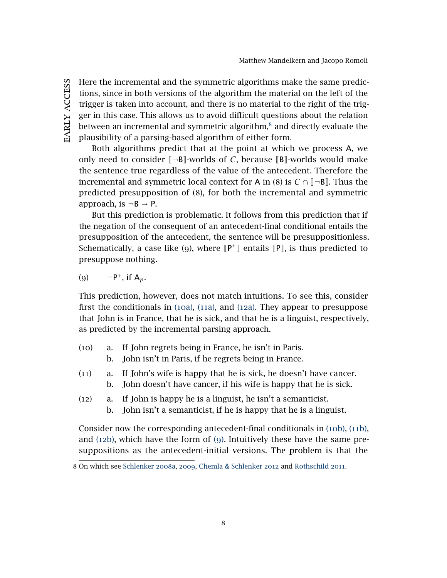Here the incremental and the symmetric algorithms make the same predictions, since in both versions of the algorithm the material on the left of the trigger is taken into account, and there is no material to the right of the trigger in this case. This allows us to avoid difficult questions about the relation between an incremental and symmetric algorithm, $\delta$  and directly evaluate the plausibility of a parsing-based algorithm of either form.

Both algorithms predict that at the point at which we process A, we only need to consider  $[\neg B]$ -worlds of *C*, because  $[B]$ -worlds would make the sentence true regardless of the value of the antecedent. Therefore the incremental and symmetric local context for A in (8) is  $C \cap \lceil \neg B \rceil$ . Thus the predicted presupposition of (8), for both the incremental and symmetric approach, is  $\neg B \rightarrow P$ .

But this prediction is problematic. It follows from this prediction that if the negation of the consequent of an antecedent-final conditional entails the presupposition of the antecedent, the sentence will be presuppositionless. Schematically, a case like (9), where  $[P^+]$  entails  $[P]$ , is thus predicted to presuppose nothing.

<span id="page-8-7"></span>(9)  $\neg P^+$ , if  $A_p$ .

This prediction, however, does not match intuitions. To see this, consider first the conditionals in ([10](#page-8-1)a), (11[a\),](#page-8-2) and (12[a\).](#page-8-3) They appear to presuppose that John is in France, that he is sick, and that he is a linguist, respectively, as predicted by the incremental parsing approach.

- <span id="page-8-4"></span><span id="page-8-1"></span>(10) a. If John regrets being in France, he isn't in Paris. b. John isn't in Paris, if he regrets being in France.
- <span id="page-8-5"></span><span id="page-8-2"></span>(11) a. If John's wife is happy that he is sick, he doesn't have cancer. b. John doesn't have cancer, if his wife is happy that he is sick.
- <span id="page-8-6"></span><span id="page-8-3"></span>(12) a. If John is happy he is a linguist, he isn't a semanticist.
	- b. John isn't a semanticist, if he is happy that he is a linguist.

Consider now the corresponding antecedent-final conditionals in (10[b\),](#page-8-4) (11[b\),](#page-8-5) and  $(12b)$ , which have the form of  $(g)$ . Intuitively these have the same presuppositions as the antecedent-initial versions. The problem is that the

EARLY ACCESS early access

<span id="page-8-0"></span><sup>8</sup> On which see [Schlenker](#page-39-1) [2008](#page-39-1)a, [2009](#page-39-0), [Chemla & Schlenker](#page-37-4) [2012](#page-37-4) and [Rothschild](#page-39-3) [2011](#page-39-3).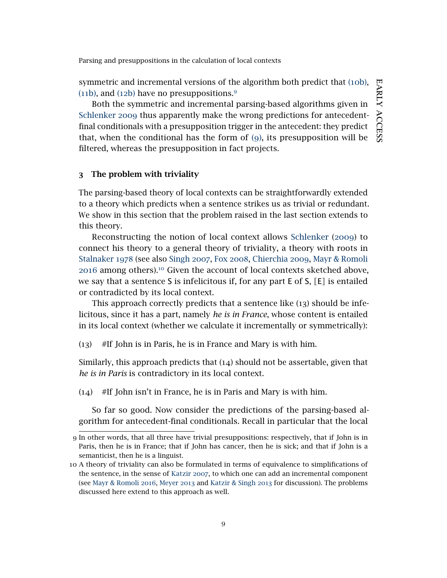EARLY ACCESS early access

Parsing and presuppositions in the calculation of local contexts

symmetric and incremental versions of the algorithm both predict that (10[b\),](#page-8-4)  $(11b)$ , and  $(12b)$  $(12b)$  $(12b)$  have no presuppositions.<sup>[9](#page-9-0)</sup>

Both the symmetric and incremental parsing-based algorithms given in [Schlenker](#page-39-0) [2009](#page-39-0) thus apparently make the wrong predictions for antecedentfinal conditionals with a presupposition trigger in the antecedent: they predict that, when the conditional has the form of  $(9)$  $(9)$  $(9)$ , its presupposition will be filtered, whereas the presupposition in fact projects.

## 3 The problem with triviality

The parsing-based theory of local contexts can be straightforwardly extended to a theory which predicts when a sentence strikes us as trivial or redundant. We show in this section that the problem raised in the last section extends to this theory.

Reconstructing the notion of local context allows [Schlenker](#page-39-0) ([2009](#page-39-0)) to connect his theory to a general theory of triviality, a theory with roots in [Stalnaker](#page-40-3) [1978](#page-40-3) (see also [Singh](#page-40-4) [2007](#page-40-4), [Fox](#page-38-1) [2008](#page-38-1), [Chierchia](#page-37-1) [2009](#page-37-1), [Mayr & Romoli](#page-39-6)  $2016$  among others).<sup>[10](#page-9-1)</sup> Given the account of local contexts sketched above, we say that a sentence S is infelicitous if, for any part E of S,  $\llbracket \mathsf{E} \rrbracket$  is entailed or contradicted by its local context.

This approach correctly predicts that a sentence like (13) should be infelicitous, since it has a part, namely *he is in France*, whose content is entailed in its local context (whether we calculate it incrementally or symmetrically):

(13) #If John is in Paris, he is in France and Mary is with him.

Similarly, this approach predicts that  $(14)$  should not be assertable, given that *he is in Paris* is contradictory in its local context.

(14) #If John isn't in France, he is in Paris and Mary is with him.

So far so good. Now consider the predictions of the parsing-based algorithm for antecedent-final conditionals. Recall in particular that the local

<span id="page-9-0"></span><sup>9</sup> In other words, that all three have trivial presuppositions: respectively, that if John is in Paris, then he is in France; that if John has cancer, then he is sick; and that if John is a semanticist, then he is a linguist.

<span id="page-9-1"></span><sup>10</sup> A theory of triviality can also be formulated in terms of equivalence to simplifications of the sentence, in the sense of [Katzir](#page-38-7) [2007](#page-38-7), to which one can add an incremental component (see [Mayr & Romoli](#page-39-6) [2016](#page-39-6), [Meyer](#page-39-7) [2013](#page-39-7) and [Katzir & Singh](#page-39-8) [2013](#page-39-8) for discussion). The problems discussed here extend to this approach as well.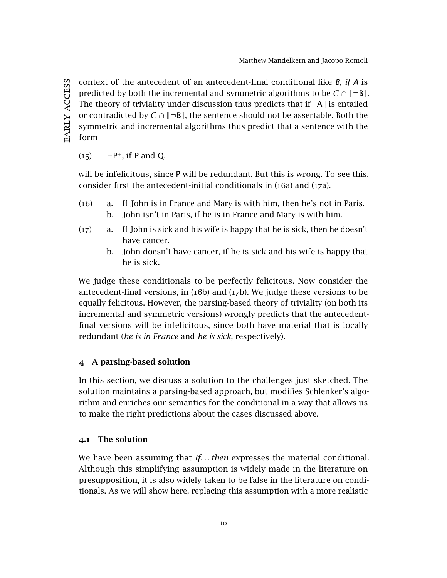context of the antecedent of an antecedent-final conditional like *B, if A* is EARLY ACCESS early access predicted by both the incremental and symmetric algorithms to be  $C \cap \llbracket \neg B \rrbracket$ . The theory of triviality under discussion thus predicts that if  $[A]$  is entailed or contradicted by  $C \cap \llbracket \neg B \rrbracket$ , the sentence should not be assertable. Both the symmetric and incremental algorithms thus predict that a sentence with the form

 $(15)$  $\neg P^+$ , if P and Q.

will be infelicitous, since P will be redundant. But this is wrong. To see this, consider first the antecedent-initial conditionals in (16a) and (17a).

- (16) a. If John is in France and Mary is with him, then he's not in Paris. b. John isn't in Paris, if he is in France and Mary is with him.
- (17) a. If John is sick and his wife is happy that he is sick, then he doesn't have cancer.
	- b. John doesn't have cancer, if he is sick and his wife is happy that he is sick.

We judge these conditionals to be perfectly felicitous. Now consider the antecedent-final versions, in (16b) and (17b). We judge these versions to be equally felicitous. However, the parsing-based theory of triviality (on both its incremental and symmetric versions) wrongly predicts that the antecedentfinal versions will be infelicitous, since both have material that is locally redundant (*he is in France* and *he is sick*, respectively).

# 4 A parsing-based solution

In this section, we discuss a solution to the challenges just sketched. The solution maintains a parsing-based approach, but modifies Schlenker's algorithm and enriches our semantics for the conditional in a way that allows us to make the right predictions about the cases discussed above.

# 4.1 The solution

We have been assuming that *If. . .then* expresses the material conditional. Although this simplifying assumption is widely made in the literature on presupposition, it is also widely taken to be false in the literature on conditionals. As we will show here, replacing this assumption with a more realistic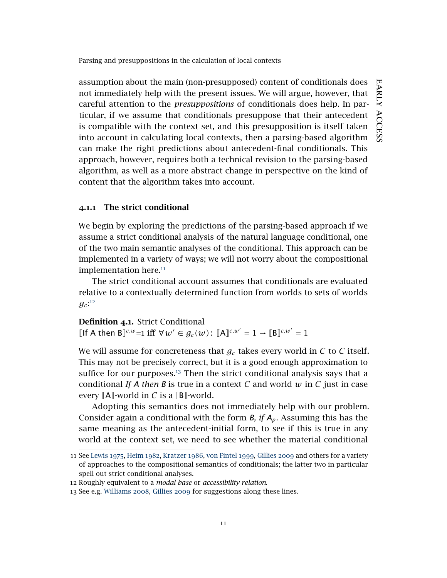assumption about the main (non-presupposed) content of conditionals does not immediately help with the present issues. We will argue, however, that careful attention to the *presuppositions* of conditionals does help. In particular, if we assume that conditionals presuppose that their antecedent is compatible with the context set, and this presupposition is itself taken into account in calculating local contexts, then a parsing-based algorithm can make the right predictions about antecedent-final conditionals. This approach, however, requires both a technical revision to the parsing-based algorithm, as well as a more abstract change in perspective on the kind of content that the algorithm takes into account.

### 4.1.1 The strict conditional

We begin by exploring the predictions of the parsing-based approach if we assume a strict conditional analysis of the natural language conditional, one of the two main semantic analyses of the conditional. This approach can be implemented in a variety of ways; we will not worry about the compositional implementation here. $11$ 

The strict conditional account assumes that conditionals are evaluated relative to a contextually determined function from worlds to sets of worlds  $g_c$ <sup>[12](#page-11-1)</sup>

Definition 4.1. Strict Conditional  $\llbracket \text{If A then } \texttt{B} \rrbracket^{c,w}=1 \text{ iff } \forall w' \in g_c(w): \ \llbracket \texttt{A} \rrbracket^{c,w'}=1 \rightarrow \llbracket \texttt{B} \rrbracket^{c,w'}=1$ 

We will assume for concreteness that  $g_c$  takes every world in *C* to *C* itself. This may not be precisely correct, but it is a good enough approximation to suffice for our purposes. $13$  Then the strict conditional analysis says that a conditional *If A then B* is true in a context *C* and world  $w$  in *C* just in case every  $\llbracket A \rrbracket$ -world in C is a  $\llbracket B \rrbracket$ -world.

Adopting this semantics does not immediately help with our problem. Consider again a conditional with the form *B, if Ap*. Assuming this has the same meaning as the antecedent-initial form, to see if this is true in any world at the context set, we need to see whether the material conditional

<span id="page-11-0"></span><sup>11</sup> See [Lewis](#page-39-9) [1975](#page-39-9), [Heim](#page-38-8) [1982](#page-38-8), [Kratzer](#page-39-10) [1986](#page-39-10), [von Fintel](#page-38-9) [1999](#page-38-9), [Gillies](#page-38-10) [2009](#page-38-10) and others for a variety of approaches to the compositional semantics of conditionals; the latter two in particular spell out strict conditional analyses.

<span id="page-11-1"></span><sup>12</sup> Roughly equivalent to a *modal base* or *accessibility relation*.

<span id="page-11-2"></span><sup>13</sup> See e.g. [Williams](#page-40-5) [2008](#page-40-5), [Gillies](#page-38-10) [2009](#page-38-10) for suggestions along these lines.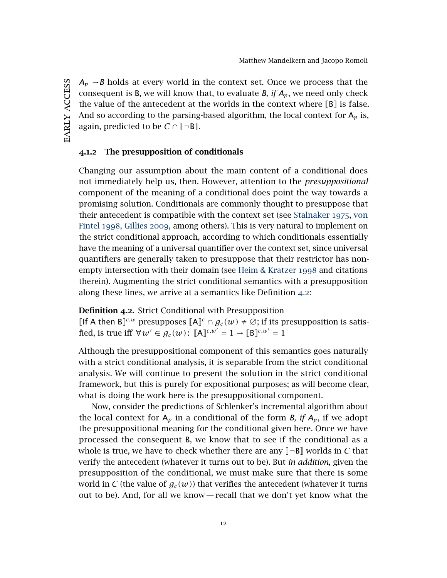$A_p \rightarrow B$  holds at every world in the context set. Once we process that the consequent is B, we will know that, to evaluate *B, if Ap*, we need only check the value of the antecedent at the worlds in the context where  $[**B**$  is false. And so according to the parsing-based algorithm, the local context for  $A_p$  is, again, predicted to be  $C \cap \llbracket \neg B \rrbracket$ .

<span id="page-12-1"></span>4.1.2 The presupposition of conditionals

Changing our assumption about the main content of a conditional does not immediately help us, then. However, attention to the *presuppositional* component of the meaning of a conditional does point the way towards a promising solution. Conditionals are commonly thought to presuppose that their antecedent is compatible with the context set (see [Stalnaker](#page-40-6) [1975](#page-40-6), [von](#page-37-5) [Fintel](#page-37-5) [1998](#page-37-5), [Gillies](#page-38-10) [2009](#page-38-10), among others). This is very natural to implement on the strict conditional approach, according to which conditionals essentially have the meaning of a universal quantifier over the context set, since universal quantifiers are generally taken to presuppose that their restrictor has nonempty intersection with their domain (see [Heim & Kratzer](#page-38-11) [1998](#page-38-11) and citations therein). Augmenting the strict conditional semantics with a presupposition along these lines, we arrive at a semantics like Definition [4](#page-12-0).2:

<span id="page-12-0"></span>Definition 4.2. Strict Conditional with Presupposition

[If A then B]<sup>*c*,*w*</sup> presupposes [A]<sup>*c*</sup> ∩  $g_c(w) ≠ ∅$ ; if its presupposition is satisfied, is true iff  $\forall w' \in g_c(w)$ :  $[A]^{c,w'} = 1 \rightarrow [B]^{c,w'} = 1$ 

Although the presuppositional component of this semantics goes naturally with a strict conditional analysis, it is separable from the strict conditional analysis. We will continue to present the solution in the strict conditional framework, but this is purely for expositional purposes; as will become clear, what is doing the work here is the presuppositional component.

Now, consider the predictions of Schlenker's incremental algorithm about the local context for  $A_p$  in a conditional of the form *B*, if  $A_p$ , if we adopt the presuppositional meaning for the conditional given here. Once we have processed the consequent B, we know that to see if the conditional as a whole is true, we have to check whether there are any  $\lceil \neg B \rceil$  worlds in *C* that verify the antecedent (whatever it turns out to be). But *in addition*, given the presupposition of the conditional, we must make sure that there is some world in *C* (the value of  $g_c(w)$ ) that verifies the antecedent (whatever it turns out to be). And, for all we know— recall that we don't yet know what the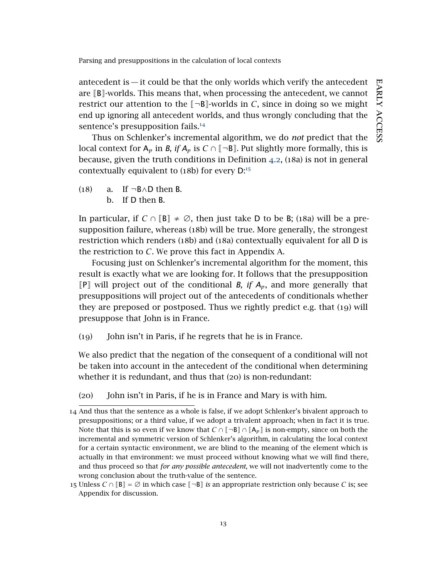EARLY ACCESS early access

Parsing and presuppositions in the calculation of local contexts

antecedent is  $-$  it could be that the only worlds which verify the antecedent are  $\mathbb{B}$ -worlds. This means that, when processing the antecedent, we cannot restrict our attention to the  $\llbracket \neg \mathbf{B} \rrbracket$ -worlds in *C*, since in doing so we might end up ignoring all antecedent worlds, and thus wrongly concluding that the sentence's presupposition fails.<sup>[14](#page-13-0)</sup>

Thus on Schlenker's incremental algorithm, we do *not* predict that the local context for  $A_p$  in *B, if*  $A_p$  is  $C \cap \llbracket \neg B \rrbracket$ . Put slightly more formally, this is because, given the truth conditions in Definition [4](#page-12-0).2, (18a) is not in general contextually equivalent to (18b) for every D:<sup>[15](#page-13-1)</sup>

(18) a. If  $\neg B \wedge D$  then B. b. If D then B.

In particular, if *C* ∩  $\mathbb{B}$  ≠  $\emptyset$ , then just take D to be B; (18a) will be a presupposition failure, whereas (18b) will be true. More generally, the strongest restriction which renders (18b) and (18a) contextually equivalent for all D is the restriction to *C*. We prove this fact in Appendix A.

Focusing just on Schlenker's incremental algorithm for the moment, this result is exactly what we are looking for. It follows that the presupposition  $\llbracket P \rrbracket$  will project out of the conditional *B,* if  $A_p$ *,* and more generally that presuppositions will project out of the antecedents of conditionals whether they are preposed or postposed. Thus we rightly predict e.g. that (19) will presuppose that John is in France.

<span id="page-13-2"></span>(19) John isn't in Paris, if he regrets that he is in France.

We also predict that the negation of the consequent of a conditional will not be taken into account in the antecedent of the conditional when determining whether it is redundant, and thus that (20) is non-redundant:

(20) John isn't in Paris, if he is in France and Mary is with him.

<span id="page-13-0"></span><sup>14</sup> And thus that the sentence as a whole is false, if we adopt Schlenker's bivalent approach to presuppositions; or a third value, if we adopt a trivalent approach; when in fact it is true. Note that this is so even if we know that  $C \cap \llbracket \neg B \rrbracket \cap \llbracket A_p \rrbracket$  is non-empty, since on both the incremental and symmetric version of Schlenker's algorithm, in calculating the local context for a certain syntactic environment, we are blind to the meaning of the element which is actually in that environment: we must proceed without knowing what we will find there, and thus proceed so that *for any possible antecedent*, we will not inadvertently come to the wrong conclusion about the truth-value of the sentence.

<span id="page-13-1"></span><sup>15</sup> Unless *C* ∩  $[**B**]$  = ∅ in which case  $[¬**B**]$  *is* an appropriate restriction only because *C* is; see Appendix for discussion.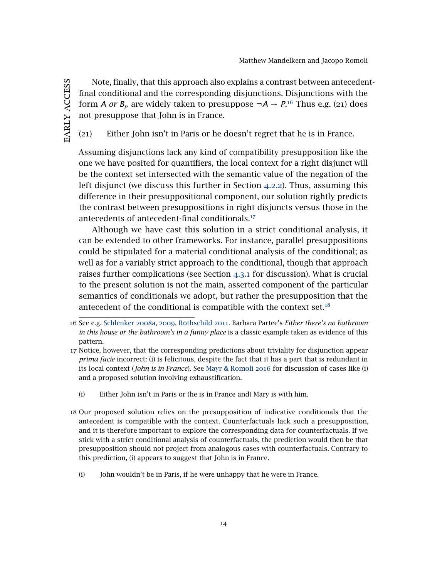Note, finally, that this approach also explains a contrast between antecedentfinal conditional and the corresponding disjunctions. Disjunctions with the form *A or*  $B_p$  are widely taken to presuppose  $\neg A \rightarrow P$ <sup>[16](#page-14-0)</sup> Thus e.g. (21) does not presuppose that John is in France.

<span id="page-14-3"></span>(21) Either John isn't in Paris or he doesn't regret that he is in France.

Assuming disjunctions lack any kind of compatibility presupposition like the one we have posited for quantifiers, the local context for a right disjunct will be the context set intersected with the semantic value of the negation of the left disjunct (we discuss this further in Section [4](#page-19-0).2.2). Thus, assuming this difference in their presuppositional component, our solution rightly predicts the contrast between presuppositions in right disjuncts versus those in the antecedents of antecedent-final conditionals.[17](#page-14-1)

Although we have cast this solution in a strict conditional analysis, it can be extended to other frameworks. For instance, parallel presuppositions could be stipulated for a material conditional analysis of the conditional; as well as for a variably strict approach to the conditional, though that approach raises further complications (see Section [4](#page-23-0).3.1 for discussion). What is crucial to the present solution is not the main, asserted component of the particular semantics of conditionals we adopt, but rather the presupposition that the antecedent of the conditional is compatible with the context set. $18$ 

- <span id="page-14-1"></span>17 Notice, however, that the corresponding predictions about triviality for disjunction appear *prima facie* incorrect: (i) is felicitous, despite the fact that it has a part that is redundant in its local context (*John is in France*). See [Mayr & Romoli](#page-39-6) [2016](#page-39-6) for discussion of cases like (i) and a proposed solution involving exhaustification.
	- (i) Either John isn't in Paris or (he is in France and) Mary is with him.
- <span id="page-14-2"></span>18 Our proposed solution relies on the presupposition of indicative conditionals that the antecedent is compatible with the context. Counterfactuals lack such a presupposition, and it is therefore important to explore the corresponding data for counterfactuals. If we stick with a strict conditional analysis of counterfactuals, the prediction would then be that presupposition should not project from analogous cases with counterfactuals. Contrary to this prediction, (i) appears to suggest that John is in France.
	- (i) John wouldn't be in Paris, if he were unhappy that he were in France.

<span id="page-14-0"></span><sup>16</sup> See e.g. [Schlenker](#page-39-1) [2008](#page-39-1)a, [2009](#page-39-0), [Rothschild](#page-39-3) [2011](#page-39-3). Barbara Partee's *Either there's no bathroom in this house or the bathroom's in a funny place* is a classic example taken as evidence of this pattern.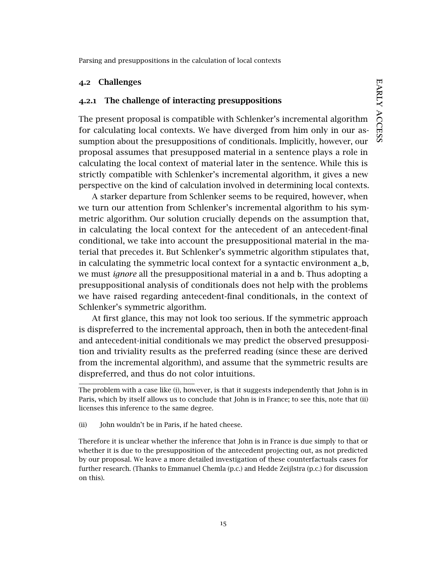### 4.2 Challenges

### 4.2.1 The challenge of interacting presuppositions

The present proposal is compatible with Schlenker's incremental algorithm for calculating local contexts. We have diverged from him only in our assumption about the presuppositions of conditionals. Implicitly, however, our proposal assumes that presupposed material in a sentence plays a role in calculating the local context of material later in the sentence. While this is strictly compatible with Schlenker's incremental algorithm, it gives a new perspective on the kind of calculation involved in determining local contexts.

A starker departure from Schlenker seems to be required, however, when we turn our attention from Schlenker's incremental algorithm to his symmetric algorithm. Our solution crucially depends on the assumption that, in calculating the local context for the antecedent of an antecedent-final conditional, we take into account the presuppositional material in the material that precedes it. But Schlenker's symmetric algorithm stipulates that, in calculating the symmetric local context for a syntactic environment a\_b, we must *ignore* all the presuppositional material in a and b. Thus adopting a presuppositional analysis of conditionals does not help with the problems we have raised regarding antecedent-final conditionals, in the context of Schlenker's symmetric algorithm.

At first glance, this may not look too serious. If the symmetric approach is dispreferred to the incremental approach, then in both the antecedent-final and antecedent-initial conditionals we may predict the observed presupposition and triviality results as the preferred reading (since these are derived from the incremental algorithm), and assume that the symmetric results are dispreferred, and thus do not color intuitions.

(ii) John wouldn't be in Paris, if he hated cheese.

Therefore it is unclear whether the inference that John is in France is due simply to that or whether it is due to the presupposition of the antecedent projecting out, as not predicted by our proposal. We leave a more detailed investigation of these counterfactuals cases for further research. (Thanks to Emmanuel Chemla (p.c.) and Hedde Zeijlstra (p.c.) for discussion on this).

The problem with a case like (i), however, is that it suggests independently that John is in Paris, which by itself allows us to conclude that John is in France; to see this, note that (ii) licenses this inference to the same degree.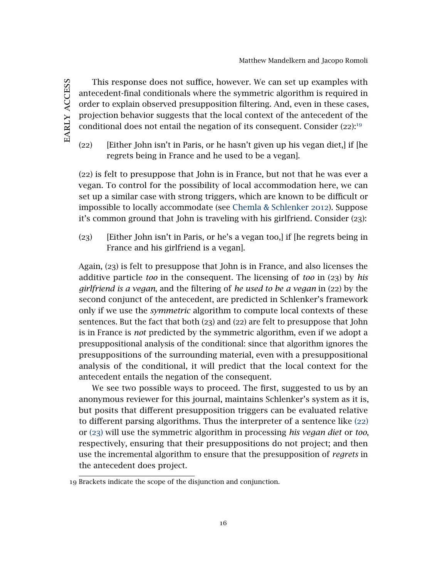This response does not suffice, however. We can set up examples with antecedent-final conditionals where the symmetric algorithm is required in order to explain observed presupposition filtering. And, even in these cases, projection behavior suggests that the local context of the antecedent of the conditional does not entail the negation of its consequent. Consider (22):<sup>[19](#page-16-0)</sup>

<span id="page-16-1"></span>(22) [Either John isn't in Paris, or he hasn't given up his vegan diet,] if [he regrets being in France and he used to be a vegan].

(22) is felt to presuppose that John is in France, but not that he was ever a vegan. To control for the possibility of local accommodation here, we can set up a similar case with strong triggers, which are known to be difficult or impossible to locally accommodate (see [Chemla & Schlenker](#page-37-4) [2012](#page-37-4)). Suppose it's common ground that John is traveling with his girlfriend. Consider (23):

<span id="page-16-2"></span>(23) [Either John isn't in Paris, or he's a vegan too,] if [he regrets being in France and his girlfriend is a vegan].

Again, (23) is felt to presuppose that John is in France, and also licenses the additive particle *too* in the consequent. The licensing of *too* in (23) by *his girlfriend is a vegan*, and the filtering of *he used to be a vegan* in (22) by the second conjunct of the antecedent, are predicted in Schlenker's framework only if we use the *symmetric* algorithm to compute local contexts of these sentences. But the fact that both (23) and (22) are felt to presuppose that John is in France is *not* predicted by the symmetric algorithm, even if we adopt a presuppositional analysis of the conditional: since that algorithm ignores the presuppositions of the surrounding material, even with a presuppositional analysis of the conditional, it will predict that the local context for the antecedent entails the negation of the consequent.

We see two possible ways to proceed. The first, suggested to us by an anonymous reviewer for this journal, maintains Schlenker's system as it is, but posits that different presupposition triggers can be evaluated relative to different parsing algorithms. Thus the interpreter of a sentence like ([22](#page-16-1)) or ([23](#page-16-2)) will use the symmetric algorithm in processing *his vegan diet* or *too*, respectively, ensuring that their presuppositions do not project; and then use the incremental algorithm to ensure that the presupposition of *regrets* in the antecedent does project.

<span id="page-16-0"></span><sup>19</sup> Brackets indicate the scope of the disjunction and conjunction.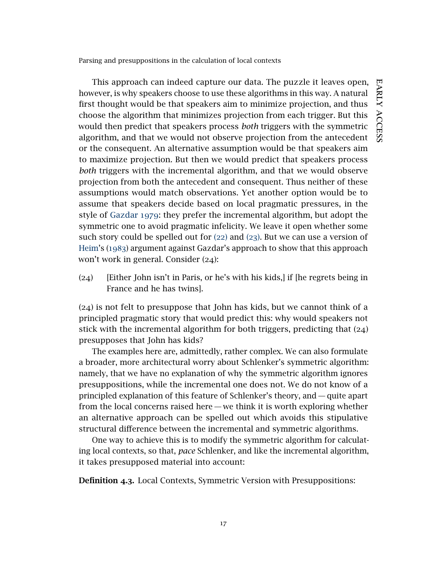won't work in general. Consider (24):

This approach can indeed capture our data. The puzzle it leaves open, however, is why speakers choose to use these algorithms in this way. A natural first thought would be that speakers aim to minimize projection, and thus choose the algorithm that minimizes projection from each trigger. But this would then predict that speakers process *both* triggers with the symmetric algorithm, and that we would not observe projection from the antecedent or the consequent. An alternative assumption would be that speakers aim to maximize projection. But then we would predict that speakers process *both* triggers with the incremental algorithm, and that we would observe projection from both the antecedent and consequent. Thus neither of these assumptions would match observations. Yet another option would be to assume that speakers decide based on local pragmatic pressures, in the style of [Gazdar](#page-38-12) [1979](#page-38-12): they prefer the incremental algorithm, but adopt the symmetric one to avoid pragmatic infelicity. We leave it open whether some such story could be spelled out for ([22](#page-16-1)) and ([23](#page-16-2)). But we can use a version of [Heim'](#page-38-5)s ([1983](#page-38-5)) argument against Gazdar's approach to show that this approach

(24) [Either John isn't in Paris, or he's with his kids,] if [he regrets being in France and he has twins].

(24) is not felt to presuppose that John has kids, but we cannot think of a principled pragmatic story that would predict this: why would speakers not stick with the incremental algorithm for both triggers, predicting that (24) presupposes that John has kids?

The examples here are, admittedly, rather complex. We can also formulate a broader, more architectural worry about Schlenker's symmetric algorithm: namely, that we have no explanation of why the symmetric algorithm ignores presuppositions, while the incremental one does not. We do not know of a principled explanation of this feature of Schlenker's theory, and — quite apart from the local concerns raised here — we think it is worth exploring whether an alternative approach can be spelled out which avoids this stipulative structural difference between the incremental and symmetric algorithms.

One way to achieve this is to modify the symmetric algorithm for calculating local contexts, so that, *pace* Schlenker, and like the incremental algorithm, it takes presupposed material into account:

<span id="page-17-0"></span>Definition 4.3. Local Contexts, Symmetric Version with Presuppositions: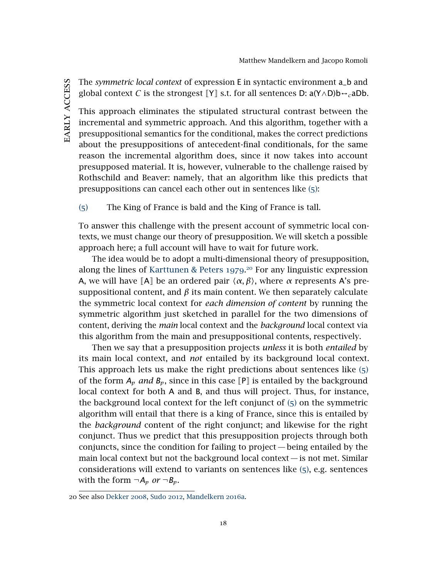EARLY ACCESS early access The *symmetric local context* of expression E in syntactic environment a\_b and global context *C* is the strongest  $\llbracket Y \rrbracket$  s.t. for all sentences D: a(Y∧D)b↔*c*<sub>c</sub>aDb.

This approach eliminates the stipulated structural contrast between the incremental and symmetric approach. And this algorithm, together with a presuppositional semantics for the conditional, makes the correct predictions about the presuppositions of antecedent-final conditionals, for the same reason the incremental algorithm does, since it now takes into account presupposed material. It is, however, vulnerable to the challenge raised by Rothschild and Beaver: namely, that an algorithm like this predicts that presuppositions can cancel each other out in sentences like ([5](#page-6-2)):

([5](#page-6-2)) The King of France is bald and the King of France is tall.

To answer this challenge with the present account of symmetric local contexts, we must change our theory of presupposition. We will sketch a possible approach here; a full account will have to wait for future work.

The idea would be to adopt a multi-dimensional theory of presupposition, along the lines of [Karttunen & Peters](#page-38-13) [1979](#page-38-13).<sup>[20](#page-18-0)</sup> For any linguistic expression A, we will have  $[A]$  be an ordered pair  $\langle \alpha, \beta \rangle$ , where  $\alpha$  represents A's presuppositional content, and  $\beta$  its main content. We then separately calculate the symmetric local context for *each dimension of content* by running the symmetric algorithm just sketched in parallel for the two dimensions of content, deriving the *main* local context and the *background* local context via this algorithm from the main and presuppositional contents, respectively.

Then we say that a presupposition projects *unless* it is both *entailed* by its main local context, and *not* entailed by its background local context. This approach lets us make the right predictions about sentences like ([5](#page-6-2)) of the form  $A_p$  *and*  $B_p$ , since in this case  $[P]$  is entailed by the background local context for both A and B, and thus will project. Thus, for instance, the background local context for the left conjunct of ([5](#page-6-2)) on the symmetric algorithm will entail that there is a king of France, since this is entailed by the *background* content of the right conjunct; and likewise for the right conjunct. Thus we predict that this presupposition projects through both conjuncts, since the condition for failing to project— being entailed by the main local context but not the background local context — is not met. Similar considerations will extend to variants on sentences like ([5](#page-6-2)), e.g. sentences with the form  $\neg A_p$  *or*  $\neg B_p$ .

<span id="page-18-0"></span><sup>20</sup> See also [Dekker](#page-37-6) [2008](#page-37-6), [Sudo](#page-40-7) [2012](#page-40-7), [Mandelkern](#page-39-11) [2016](#page-39-11)a.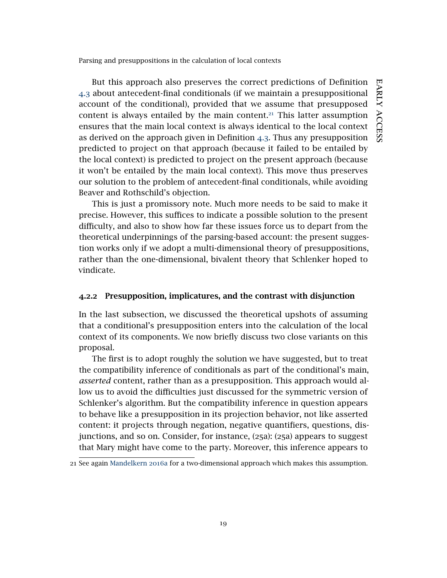But this approach also preserves the correct predictions of Definition [4](#page-17-0).3 about antecedent-final conditionals (if we maintain a presuppositional account of the conditional), provided that we assume that presupposed content is always entailed by the main content. $21$  This latter assumption ensures that the main local context is always identical to the local context as derived on the approach given in Definition [4](#page-17-0).3. Thus any presupposition predicted to project on that approach (because it failed to be entailed by the local context) is predicted to project on the present approach (because it won't be entailed by the main local context). This move thus preserves our solution to the problem of antecedent-final conditionals, while avoiding Beaver and Rothschild's objection.

This is just a promissory note. Much more needs to be said to make it precise. However, this suffices to indicate a possible solution to the present difficulty, and also to show how far these issues force us to depart from the theoretical underpinnings of the parsing-based account: the present suggestion works only if we adopt a multi-dimensional theory of presuppositions, rather than the one-dimensional, bivalent theory that Schlenker hoped to vindicate.

#### <span id="page-19-0"></span>4.2.2 Presupposition, implicatures, and the contrast with disjunction

In the last subsection, we discussed the theoretical upshots of assuming that a conditional's presupposition enters into the calculation of the local context of its components. We now briefly discuss two close variants on this proposal.

The first is to adopt roughly the solution we have suggested, but to treat the compatibility inference of conditionals as part of the conditional's main, *asserted* content, rather than as a presupposition. This approach would allow us to avoid the difficulties just discussed for the symmetric version of Schlenker's algorithm. But the compatibility inference in question appears to behave like a presupposition in its projection behavior, not like asserted content: it projects through negation, negative quantifiers, questions, disjunctions, and so on. Consider, for instance, (25a): (25a) appears to suggest that Mary might have come to the party. Moreover, this inference appears to

EARLY ACCESS early access

<span id="page-19-1"></span><sup>21</sup> See again [Mandelkern](#page-39-11) [2016](#page-39-11)a for a two-dimensional approach which makes this assumption.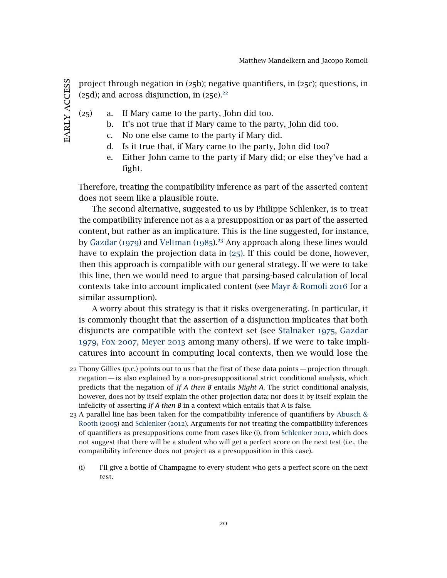project through negation in (25b); negative quantifiers, in (25c); questions, in (25d); and across disjunction, in  $(25e)^{22}$  $(25e)^{22}$  $(25e)^{22}$ 

- <span id="page-20-2"></span>(25) a. If Mary came to the party, John did too.
	- b. It's not true that if Mary came to the party, John did too.
	- c. No one else came to the party if Mary did.
	- d. Is it true that, if Mary came to the party, John did too?
	- e. Either John came to the party if Mary did; or else they've had a fight.

Therefore, treating the compatibility inference as part of the asserted content does not seem like a plausible route.

The second alternative, suggested to us by Philippe Schlenker, is to treat the compatibility inference not as a a presupposition or as part of the asserted content, but rather as an implicature. This is the line suggested, for instance, by [Gazdar](#page-38-12) ([1979](#page-38-12)) and [Veltman](#page-40-8) ([1985](#page-40-8)).<sup>[23](#page-20-1)</sup> Any approach along these lines would have to explain the projection data in ([25](#page-20-2)). If this could be done, however, then this approach is compatible with our general strategy. If we were to take this line, then we would need to argue that parsing-based calculation of local contexts take into account implicated content (see [Mayr & Romoli](#page-39-6) [2016](#page-39-6) for a similar assumption).

A worry about this strategy is that it risks overgenerating. In particular, it is commonly thought that the assertion of a disjunction implicates that both disjuncts are compatible with the context set (see [Stalnaker](#page-40-6) [1975](#page-40-6), [Gazdar](#page-38-12) [1979](#page-38-12), [Fox](#page-38-14) [2007](#page-38-14), [Meyer](#page-39-7) [2013](#page-39-7) among many others). If we were to take implicatures into account in computing local contexts, then we would lose the

<span id="page-20-0"></span><sup>22</sup> Thony Gillies (p.c.) points out to us that the first of these data points— projection through negation— is also explained by a non-presuppositional strict conditional analysis, which predicts that the negation of *If A then B* entails *Might A*. The strict conditional analysis, however, does not by itself explain the other projection data; nor does it by itself explain the infelicity of asserting *If A then B* in a context which entails that A is false.

<span id="page-20-1"></span><sup>23</sup> A parallel line has been taken for the compatibility inference of quantifiers by [Abusch &](#page-36-2) [Rooth](#page-36-2) ([2005](#page-36-2)) and [Schlenker](#page-40-9) ([2012](#page-40-9)). Arguments for not treating the compatibility inferences of quantifiers as presuppositions come from cases like (i), from [Schlenker](#page-40-9) [2012](#page-40-9), which does not suggest that there will be a student who will get a perfect score on the next test (i.e., the compatibility inference does not project as a presupposition in this case).

<sup>(</sup>i) I'll give a bottle of Champagne to every student who gets a perfect score on the next test.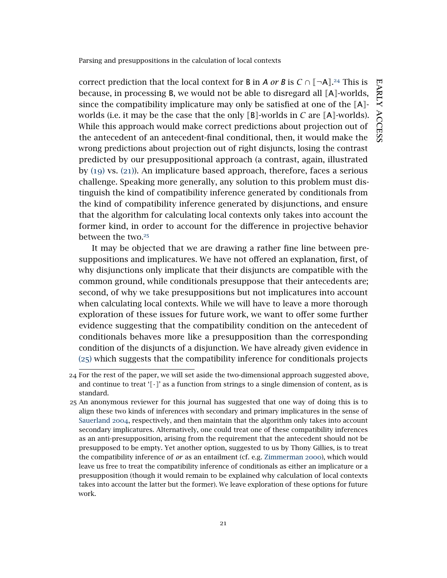correct prediction that the local context for **B** in *A or* **B** is  $C \cap [-A]$ <sup>[24](#page-21-0)</sup> This is because, in processing  $B$ , we would not be able to disregard all  $[A]$ -worlds, since the compatibility implicature may only be satisfied at one of the  $[A]$ worlds (i.e. it may be the case that the only  $[\mathbf{B}]$ -worlds in *C* are  $[\mathbf{A}]$ -worlds).

While this approach would make correct predictions about projection out of the antecedent of an antecedent-final conditional, then, it would make the wrong predictions about projection out of right disjuncts, losing the contrast predicted by our presuppositional approach (a contrast, again, illustrated by ([19](#page-13-2)) vs. ([21](#page-14-3))). An implicature based approach, therefore, faces a serious challenge. Speaking more generally, any solution to this problem must distinguish the kind of compatibility inference generated by conditionals from the kind of compatibility inference generated by disjunctions, and ensure that the algorithm for calculating local contexts only takes into account the former kind, in order to account for the difference in projective behavior between the two.<sup>[25](#page-21-1)</sup>

It may be objected that we are drawing a rather fine line between presuppositions and implicatures. We have not offered an explanation, first, of why disjunctions only implicate that their disjuncts are compatible with the common ground, while conditionals presuppose that their antecedents are; second, of why we take presuppositions but not implicatures into account when calculating local contexts. While we will have to leave a more thorough exploration of these issues for future work, we want to offer some further evidence suggesting that the compatibility condition on the antecedent of conditionals behaves more like a presupposition than the corresponding condition of the disjuncts of a disjunction. We have already given evidence in ([25](#page-20-2)) which suggests that the compatibility inference for conditionals projects

<span id="page-21-0"></span><sup>24</sup> For the rest of the paper, we will set aside the two-dimensional approach suggested above, and continue to treat  $\lbrack \cdot \rbrack'$  as a function from strings to a single dimension of content, as is standard.

<span id="page-21-1"></span><sup>25</sup> An anonymous reviewer for this journal has suggested that one way of doing this is to align these two kinds of inferences with secondary and primary implicatures in the sense of [Sauerland](#page-39-12) [2004](#page-39-12), respectively, and then maintain that the algorithm only takes into account secondary implicatures. Alternatively, one could treat one of these compatibility inferences as an anti-presupposition, arising from the requirement that the antecedent should not be presupposed to be empty. Yet another option, suggested to us by Thony Gillies, is to treat the compatibility inference of *or* as an entailment (cf. e.g. [Zimmerman](#page-40-10) [2000](#page-40-10)), which would leave us free to treat the compatibility inference of conditionals as either an implicature or a presupposition (though it would remain to be explained why calculation of local contexts takes into account the latter but the former). We leave exploration of these options for future work.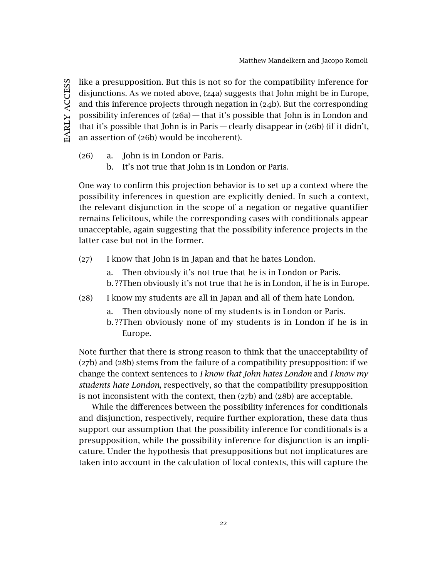like a presupposition. But this is not so for the compatibility inference for disjunctions. As we noted above, (24a) suggests that John might be in Europe, and this inference projects through negation in (24b). But the corresponding possibility inferences of (26a) — that it's possible that John is in London and that it's possible that John is in Paris — clearly disappear in (26b) (if it didn't, an assertion of (26b) would be incoherent).

- (26) a. John is in London or Paris.
	- b. It's not true that John is in London or Paris.

One way to confirm this projection behavior is to set up a context where the possibility inferences in question are explicitly denied. In such a context, the relevant disjunction in the scope of a negation or negative quantifier remains felicitous, while the corresponding cases with conditionals appear unacceptable, again suggesting that the possibility inference projects in the latter case but not in the former.

(27) I know that John is in Japan and that he hates London.

a. Then obviously it's not true that he is in London or Paris. b. ??Then obviously it's not true that he is in London, if he is in Europe.

- (28) I know my students are all in Japan and all of them hate London.
	- a. Then obviously none of my students is in London or Paris.
	- b. ??Then obviously none of my students is in London if he is in Europe.

Note further that there is strong reason to think that the unacceptability of (27b) and (28b) stems from the failure of a compatibility presupposition: if we change the context sentences to *I know that John hates London* and *I know my students hate London*, respectively, so that the compatibility presupposition is not inconsistent with the context, then (27b) and (28b) are acceptable.

While the differences between the possibility inferences for conditionals and disjunction, respectively, require further exploration, these data thus support our assumption that the possibility inference for conditionals is a presupposition, while the possibility inference for disjunction is an implicature. Under the hypothesis that presuppositions but not implicatures are taken into account in the calculation of local contexts, this will capture the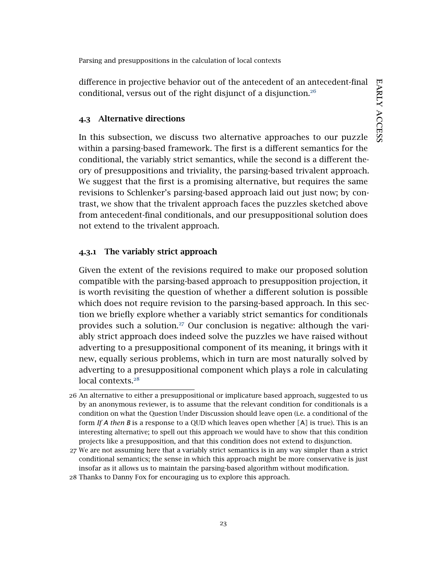difference in projective behavior out of the antecedent of an antecedent-final conditional, versus out of the right disjunct of a disjunction.<sup>[26](#page-23-1)</sup>

### 4.3 Alternative directions

In this subsection, we discuss two alternative approaches to our puzzle within a parsing-based framework. The first is a different semantics for the conditional, the variably strict semantics, while the second is a different theory of presuppositions and triviality, the parsing-based trivalent approach. We suggest that the first is a promising alternative, but requires the same revisions to Schlenker's parsing-based approach laid out just now; by contrast, we show that the trivalent approach faces the puzzles sketched above from antecedent-final conditionals, and our presuppositional solution does not extend to the trivalent approach.

#### <span id="page-23-0"></span>4.3.1 The variably strict approach

Given the extent of the revisions required to make our proposed solution compatible with the parsing-based approach to presupposition projection, it is worth revisiting the question of whether a different solution is possible which does not require revision to the parsing-based approach. In this section we briefly explore whether a variably strict semantics for conditionals provides such a solution.<sup>[27](#page-23-2)</sup> Our conclusion is negative: although the variably strict approach does indeed solve the puzzles we have raised without adverting to a presuppositional component of its meaning, it brings with it new, equally serious problems, which in turn are most naturally solved by adverting to a presuppositional component which plays a role in calculating local contexts.<sup>[28](#page-23-3)</sup>

<span id="page-23-1"></span><sup>26</sup> An alternative to either a presuppositional or implicature based approach, suggested to us by an anonymous reviewer, is to assume that the relevant condition for conditionals is a condition on what the Question Under Discussion should leave open (i.e. a conditional of the form *If A then B* is a response to a QUD which leaves open whether  $[A]$  is true). This is an interesting alternative; to spell out this approach we would have to show that this condition projects like a presupposition, and that this condition does not extend to disjunction.

<span id="page-23-2"></span><sup>27</sup> We are not assuming here that a variably strict semantics is in any way simpler than a strict conditional semantics; the sense in which this approach might be more conservative is just insofar as it allows us to maintain the parsing-based algorithm without modification.

<span id="page-23-3"></span><sup>28</sup> Thanks to Danny Fox for encouraging us to explore this approach.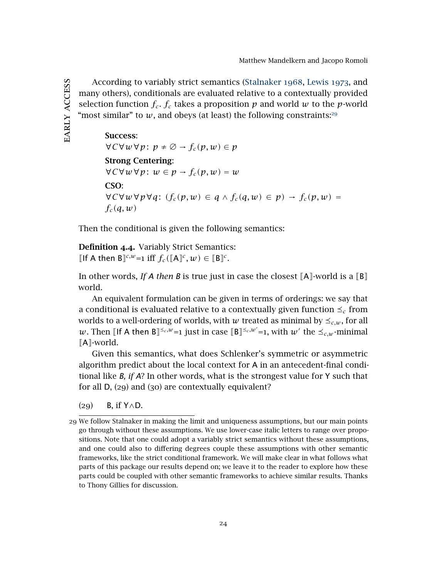According to variably strict semantics [\(Stalnaker](#page-40-11) [1968](#page-40-11), [Lewis](#page-39-13) [1973](#page-39-13), and many others), conditionals are evaluated relative to a contextually provided selection function  $f_c$ .  $f_c$  takes a proposition  $p$  and world  $w$  to the  $p$ -world "most similar" to  $w$ , and obeys (at least) the following constraints:<sup>[29](#page-24-0)</sup>

```
Success:
∀C∀w∀p : p ≠ ∅ → fc(p, w) ∈ p
Strong Centering:
∀C∀w∀p : w ∈ p → fc(p, w) = w
CSO:
∀C∀w∀p∀q: (fc(p, w) ∈ q ∧ fc(q, w) ∈ p) → fc(p, w) =
fc(q, w)
```
Then the conditional is given the following semantics:

Definition 4.4. Variably Strict Semantics: [If A then  $B\rrbracket^{c,w}=1$  iff  $f_c([A]\rrbracket^c, w) \in [B]\rrbracket^c$ .

In other words, If A then B is true just in case the closest  $[A]$ -world is a  $[B]$ world.

An equivalent formulation can be given in terms of orderings: we say that a conditional is evaluated relative to a contextually given function  $\leq_c$  from worlds to a well-ordering of worlds, with *w* treated as minimal by  $\leq_{c,w}$ , for all *w*. Then [If A then B]<sup> $\leq_c w = 1$  just in case [B] $\leq_c w' = 1$ , with *w*<sup>*'*</sup> the  $\leq_{c,w}$ -minimal</sup> A-world.

Given this semantics, what does Schlenker's symmetric or asymmetric algorithm predict about the local context for A in an antecedent-final conditional like *B, if A*? In other words, what is the strongest value for Y such that for all D, (29) and (30) are contextually equivalent?

(29) B, if Y∧D.

EARLY ACCESS early access

<span id="page-24-0"></span><sup>29</sup> We follow Stalnaker in making the limit and uniqueness assumptions, but our main points go through without these assumptions. We use lower-case italic letters to range over propositions. Note that one could adopt a variably strict semantics without these assumptions, and one could also to differing degrees couple these assumptions with other semantic frameworks, like the strict conditional framework. We will make clear in what follows what parts of this package our results depend on; we leave it to the reader to explore how these parts could be coupled with other semantic frameworks to achieve similar results. Thanks to Thony Gillies for discussion.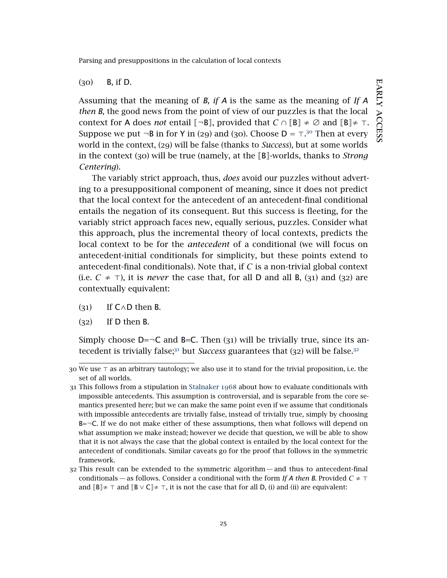#### (30) B, if D.

Assuming that the meaning of *B, if A* is the same as the meaning of *If A then B*, the good news from the point of view of our puzzles is that the local context for A does *not* entail  $\llbracket \neg B \rrbracket$ , provided that  $C \cap \llbracket B \rrbracket \neq \emptyset$  and  $\llbracket B \rrbracket \neq \top$ . Suppose we put  $\neg$ B in for Y in (29) and ([30](#page-25-0)). Choose D =  $\top$ .<sup>30</sup> Then at every world in the context, (29) will be false (thanks to *Success*), but at some worlds in the context (30) will be true (namely, at the [B]-worlds, thanks to *Strong Centering*).

The variably strict approach, thus, *does* avoid our puzzles without adverting to a presuppositional component of meaning, since it does not predict that the local context for the antecedent of an antecedent-final conditional entails the negation of its consequent. But this success is fleeting, for the variably strict approach faces new, equally serious, puzzles. Consider what this approach, plus the incremental theory of local contexts, predicts the local context to be for the *antecedent* of a conditional (we will focus on antecedent-initial conditionals for simplicity, but these points extend to antecedent-final conditionals). Note that, if *C* is a non-trivial global context (i.e.  $C \neq \top$ ), it is *never* the case that, for all D and all B, (31) and (32) are contextually equivalent:

- <span id="page-25-4"></span><span id="page-25-3"></span>(31) If C∧D then B.
- (32) If D then B.

Simply choose  $D=-C$  and B=C. Then (31) will be trivially true, since its an-tecedent is trivially false;<sup>[31](#page-25-1)</sup> but *Success* guarantees that ([32](#page-25-2)) will be false.<sup>32</sup>

<span id="page-25-0"></span><sup>30</sup> We use  $\tau$  as an arbitrary tautology; we also use it to stand for the trivial proposition, i.e. the set of all worlds.

<span id="page-25-1"></span><sup>31</sup> This follows from a stipulation in [Stalnaker](#page-40-11) [1968](#page-40-11) about how to evaluate conditionals with impossible antecedents. This assumption is controversial, and is separable from the core semantics presented here; but we can make the same point even if we assume that conditionals with impossible antecedents are trivially false, instead of trivially true, simply by choosing  $B = \neg C$ . If we do not make either of these assumptions, then what follows will depend on what assumption we make instead; however we decide that question, we will be able to show that it is not always the case that the global context is entailed by the local context for the antecedent of conditionals. Similar caveats go for the proof that follows in the symmetric framework.

<span id="page-25-2"></span><sup>32</sup> This result can be extended to the symmetric algorithm— and thus to antecedent-final conditionals — as follows. Consider a conditional with the form *If A then B*. Provided *C*  $\neq$   $\top$ and  $\mathbb{B} \neq \top$  and  $\mathbb{B} \vee \mathbb{C} \neq \top$ , it is not the case that for all D, (i) and (ii) are equivalent: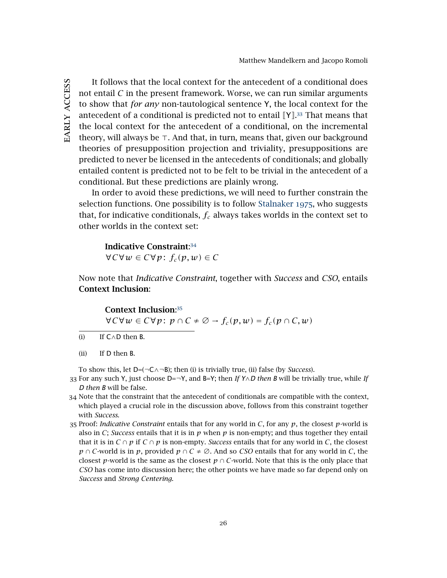It follows that the local context for the antecedent of a conditional does not entail *C* in the present framework. Worse, we can run similar arguments to show that *for any* non-tautological sentence Y, the local context for the antecedent of a conditional is predicted not to entail  $\llbracket \mathsf{Y} \rrbracket$ .<sup>[33](#page-26-0)</sup> That means that the local context for the antecedent of a conditional, on the incremental theory, will always be  $\tau$ . And that, in turn, means that, given our background theories of presupposition projection and triviality, presuppositions are predicted to never be licensed in the antecedents of conditionals; and globally entailed content is predicted not to be felt to be trivial in the antecedent of a conditional. But these predictions are plainly wrong.

In order to avoid these predictions, we will need to further constrain the selection functions. One possibility is to follow [Stalnaker](#page-40-6) [1975](#page-40-6), who suggests that, for indicative conditionals,  $f_c$  always takes worlds in the context set to other worlds in the context set:

# Indicative Constraint: [34](#page-26-1)

∀*C*∀*w* ∈ *C*∀*p* : *fc(p, w)* ∈ *C*

Now note that *Indicative Constraint*, together with *Success* and *CSO*, entails Context Inclusion:

# Context Inclusion: [35](#page-26-2)

∀*C*∀*w* ∈ *C*∀*p* : *p* ∩ *C* ≠ ∅ → *fc(p, w)* = *fc(p* ∩ *C, w)*

- (i) If C∧D then B.
- (ii) If D then B.

<span id="page-26-0"></span>To show this, let D=(¬C∧¬B); then (i) is trivially true, (ii) false (by *Success*).

- 33 For any such Y, just choose D=¬Y, and B=Y; then *If Y*∧*D then B* will be trivially true, while *If D then B* will be false.
- <span id="page-26-1"></span>34 Note that the constraint that the antecedent of conditionals are compatible with the context, which played a crucial role in the discussion above, follows from this constraint together with *Success*.
- <span id="page-26-2"></span>35 Proof: *Indicative Constraint* entails that for any world in *C*, for any *p*, the closest *p*-world is also in *C*; *Success* entails that it is in  $p$  when  $p$  is non-empty; and thus together they entail that it is in  $C \cap p$  if  $C \cap p$  is non-empty. *Success* entails that for any world in *C*, the closest *p* ∩ *C*-world is in *p*, provided *p* ∩ *C* ≠ ∅. And so *CSO* entails that for any world in *C*, the closest *p*-world is the same as the closest  $p \cap C$ -world. Note that this is the only place that *CSO* has come into discussion here; the other points we have made so far depend only on *Success* and *Strong Centering*.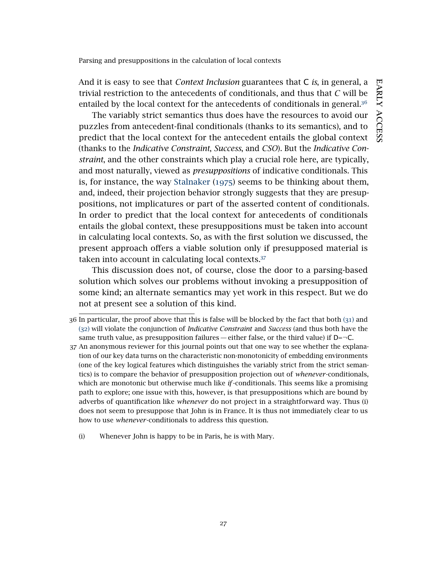And it is easy to see that *Context Inclusion* guarantees that C *is*, in general, a trivial restriction to the antecedents of conditionals, and thus that *C* will be entailed by the local context for the antecedents of conditionals in general.<sup>[36](#page-27-0)</sup>

The variably strict semantics thus does have the resources to avoid our puzzles from antecedent-final conditionals (thanks to its semantics), and to predict that the local context for the antecedent entails the global context (thanks to the *Indicative Constraint*, *Success*, and *CSO*). But the *Indicative Constraint*, and the other constraints which play a crucial role here, are typically, and most naturally, viewed as *presuppositions* of indicative conditionals. This is, for instance, the way [Stalnaker](#page-40-6) ([1975](#page-40-6)) seems to be thinking about them, and, indeed, their projection behavior strongly suggests that they are presuppositions, not implicatures or part of the asserted content of conditionals. In order to predict that the local context for antecedents of conditionals entails the global context, these presuppositions must be taken into account in calculating local contexts. So, as with the first solution we discussed, the present approach offers a viable solution only if presupposed material is taken into account in calculating local contexts.[37](#page-27-1)

This discussion does not, of course, close the door to a parsing-based solution which solves our problems without invoking a presupposition of some kind; an alternate semantics may yet work in this respect. But we do not at present see a solution of this kind.

<span id="page-27-0"></span><sup>36</sup> In particular, the proof above that this is false will be blocked by the fact that both ([31](#page-25-3)) and ([32](#page-25-4)) will violate the conjunction of *Indicative Constraint* and *Success* (and thus both have the same truth value, as presupposition failures — either false, or the third value) if  $D = \neg C$ .

<span id="page-27-1"></span><sup>37</sup> An anonymous reviewer for this journal points out that one way to see whether the explanation of our key data turns on the characteristic non-monotonicity of embedding environments (one of the key logical features which distinguishes the variably strict from the strict semantics) is to compare the behavior of presupposition projection out of *whenever*-conditionals, which are monotonic but otherwise much like *if*-conditionals. This seems like a promising path to explore; one issue with this, however, is that presuppositions which are bound by adverbs of quantification like *whenever* do not project in a straightforward way. Thus (i) does not seem to presuppose that John is in France. It is thus not immediately clear to us how to use *whenever*-conditionals to address this question.

<sup>(</sup>i) Whenever John is happy to be in Paris, he is with Mary.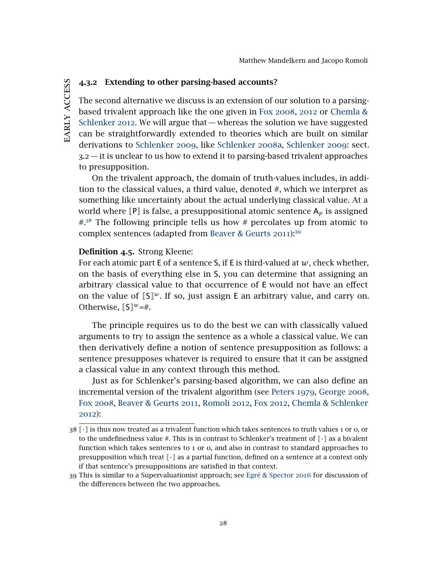# 4.3.2 Extending to other parsing-based accounts?

The second alternative we discuss is an extension of our solution to a parsingbased trivalent approach like the one given in [Fox](#page-38-1) [2008](#page-38-1), [2012](#page-38-2) or [Chemla &](#page-37-4) [Schlenker](#page-37-4) [2012](#page-37-4). We will argue that — whereas the solution we have suggested can be straightforwardly extended to theories which are built on similar derivations to [Schlenker](#page-39-0) [2009](#page-39-0), like [Schlenker](#page-39-1) [2008](#page-39-1)a, [Schlenker](#page-39-0) [2009](#page-39-0): sect. 3.2 — it is unclear to us how to extend it to parsing-based trivalent approaches to presupposition.

On the trivalent approach, the domain of truth-values includes, in addition to the classical values, a third value, denoted  $#$ , which we interpret as something like uncertainty about the actual underlying classical value. At a world where  $\llbracket P \rrbracket$  is false, a presuppositional atomic sentence  $A_p$  is assigned  $\#$ <sup>[38](#page-28-0)</sup> The following principle tells us how  $\#$  percolates up from atomic to complex sentences (adapted from [Beaver & Geurts](#page-37-7) [2011](#page-37-7)):[39](#page-28-1)

#### Definition 4.5. Strong Kleene:

For each atomic part E of a sentence S, if E is third-valued at  $w$ , check whether, on the basis of everything else in S, you can determine that assigning an arbitrary classical value to that occurrence of E would not have an effect on the value of  $[s]^{w}$ . If so, just assign E an arbitrary value, and carry on. Otherwise,  $\llbracket \mathsf{S} \rrbracket^w = \#$ .

The principle requires us to do the best we can with classically valued arguments to try to assign the sentence as a whole a classical value. We can then derivatively define a notion of sentence presupposition as follows: a sentence presupposes whatever is required to ensure that it can be assigned a classical value in any context through this method.

Just as for Schlenker's parsing-based algorithm, we can also define an incremental version of the trivalent algorithm (see [Peters](#page-39-4) [1979](#page-39-4), [George](#page-38-0) [2008](#page-38-0), [Fox](#page-38-1) [2008](#page-38-1), [Beaver & Geurts](#page-37-7) [2011](#page-37-7), [Romoli](#page-39-14) [2012](#page-39-14), [Fox](#page-38-2) [2012](#page-38-2), [Chemla & Schlenker](#page-37-4) [2012](#page-37-4)):

<span id="page-28-0"></span> $38$  [ $\cdot$ ] is thus now treated as a trivalent function which takes sentences to truth values 1 or 0, or to the undefinedness value #. This is in contrast to Schlenker's treatment of  $\lceil \cdot \rceil$  as a bivalent function which takes sentences to 1 or 0, and also in contrast to standard approaches to presupposition which treat  $\llbracket \cdot \rrbracket$  as a partial function, defined on a sentence at a context only if that sentence's presuppositions are satisfied in that context.

<span id="page-28-1"></span><sup>39</sup> This is similar to a Supervaluationist approach; see [Egré & Spector](#page-37-8) [2016](#page-37-8) for discussion of the differences between the two approaches.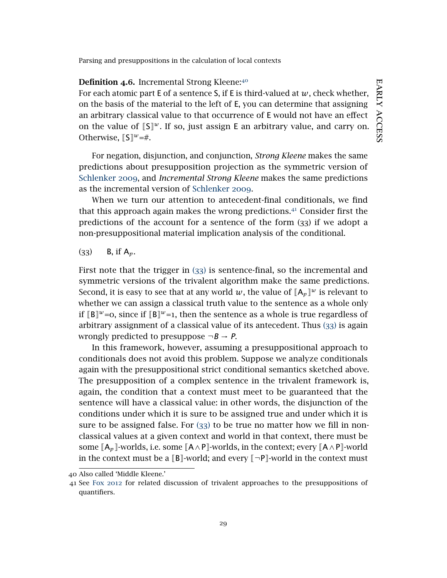#### Definition 4.6. Incremental Strong Kleene:<sup>[40](#page-29-0)</sup>

For each atomic part E of a sentence S, if E is third-valued at *w*, check whether, on the basis of the material to the left of E, you can determine that assigning an arbitrary classical value to that occurrence of E would not have an effect on the value of  $[s]^{w}$ . If so, just assign E an arbitrary value, and carry on. Otherwise,  $\llbracket \mathsf{S} \rrbracket^w = \#$ .

For negation, disjunction, and conjunction, *Strong Kleene* makes the same predictions about presupposition projection as the symmetric version of [Schlenker](#page-39-0) [2009](#page-39-0), and *Incremental Strong Kleene* makes the same predictions as the incremental version of [Schlenker](#page-39-0) [2009](#page-39-0).

When we turn our attention to antecedent-final conditionals, we find that this approach again makes the wrong predictions. $4<sup>1</sup>$  Consider first the predictions of the account for a sentence of the form (33) if we adopt a non-presuppositional material implication analysis of the conditional.

<span id="page-29-2"></span>(33) B, if A*p*.

First note that the trigger in ([33](#page-29-2)) is sentence-final, so the incremental and symmetric versions of the trivalent algorithm make the same predictions. Second, it is easy to see that at any world  $w$ , the value of  $\llbracket A_p \rrbracket^w$  is relevant to whether we can assign a classical truth value to the sentence as a whole only if  $[B]^{w}$ =0, since if  $[B]^{w}$ =1, then the sentence as a whole is true regardless of arbitrary assignment of a classical value of its antecedent. Thus ([33](#page-29-2)) is again wrongly predicted to presuppose  $\neg B \rightarrow P$ .

In this framework, however, assuming a presuppositional approach to conditionals does not avoid this problem. Suppose we analyze conditionals again with the presuppositional strict conditional semantics sketched above. The presupposition of a complex sentence in the trivalent framework is, again, the condition that a context must meet to be guaranteed that the sentence will have a classical value: in other words, the disjunction of the conditions under which it is sure to be assigned true and under which it is sure to be assigned false. For  $(33)$  $(33)$  $(33)$  to be true no matter how we fill in nonclassical values at a given context and world in that context, there must be some  $[A_n]$ -worlds, i.e. some  $[A \wedge P]$ -worlds, in the context; every  $[A \wedge P]$ -world in the context must be a  $\mathbb{B}$ -world; and every  $\mathbb{F}$ - $\mathbb{P}$ -world in the context must

<span id="page-29-0"></span><sup>40</sup> Also called 'Middle Kleene.'

<span id="page-29-1"></span><sup>41</sup> See [Fox](#page-38-2) [2012](#page-38-2) for related discussion of trivalent approaches to the presuppositions of quantifiers.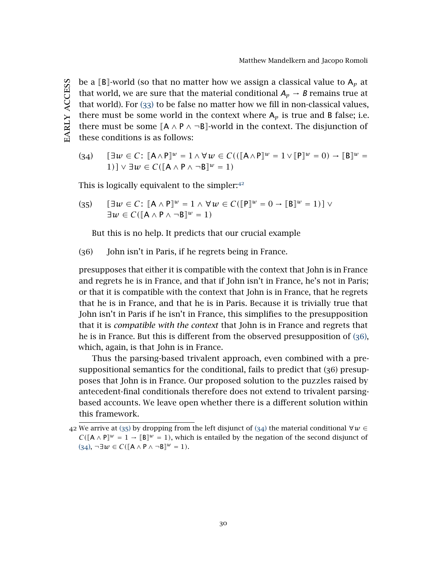be a  $[\mathbf{B}]$ -world (so that no matter how we assign a classical value to  $A_p$  at EARLY ACCESS early access that world, we are sure that the material conditional  $A_p \rightarrow B$  remains true at that world). For ([33](#page-29-2)) to be false no matter how we fill in non-classical values, there must be some world in the context where  $A_p$  is true and B false; i.e. there must be some  $[A \wedge P \wedge \neg B]$ -world in the context. The disjunction of these conditions is as follows:

<span id="page-30-3"></span> $(34)$   $[\exists w \in C: [\![A \wedge P]\!]^w = 1 \wedge \forall w \in C(([\![A \wedge P]\!]^w = 1 \vee [\![P]\!]^w = 0) \rightarrow [\![B]\!]^w =$  $1)$ ] ∨  $\exists w \in C([{\bf A} \wedge {\bf P} \wedge \neg {\bf B}]^w = 1)$ 

<span id="page-30-2"></span>This is logically equivalent to the simpler: $42$ 

 $(35)$   $[\exists w \in C: [\mathbb{A} \wedge \mathbb{P}]^w = 1 \wedge \forall w \in C([\mathbb{P}]^w = 0 \rightarrow [\mathbb{B}]^w = 1)] \vee$  $\exists w \in C([\mathbb{A} \wedge \mathsf{P} \wedge \neg \mathsf{B}]^w = 1)$ 

But this is no help. It predicts that our crucial example

<span id="page-30-1"></span>(36) John isn't in Paris, if he regrets being in France.

presupposes that either it is compatible with the context that John is in France and regrets he is in France, and that if John isn't in France, he's not in Paris; or that it is compatible with the context that John is in France, that he regrets that he is in France, and that he is in Paris. Because it is trivially true that John isn't in Paris if he isn't in France, this simplifies to the presupposition that it is *compatible with the context* that John is in France and regrets that he is in France. But this is different from the observed presupposition of ([36](#page-30-1)), which, again, is that John is in France.

Thus the parsing-based trivalent approach, even combined with a presuppositional semantics for the conditional, fails to predict that (36) presupposes that John is in France. Our proposed solution to the puzzles raised by antecedent-final conditionals therefore does not extend to trivalent parsingbased accounts. We leave open whether there is a different solution within this framework.

<span id="page-30-0"></span><sup>42</sup> We arrive at ([35](#page-30-2)) by dropping from the left disjunct of ([34](#page-30-3)) the material conditional  $∀w ∈$  $C([\mathbb{A} \wedge \mathbb{P}]^w = 1 \rightarrow [\mathbb{B}]^w = 1$ , which is entailed by the negation of the second disjunct of  $(34)$  $(34)$  $(34)$ ,  $\neg \exists w \in C([\mathbb{A} \wedge \mathsf{P} \wedge \neg \mathsf{B}]^w = 1).$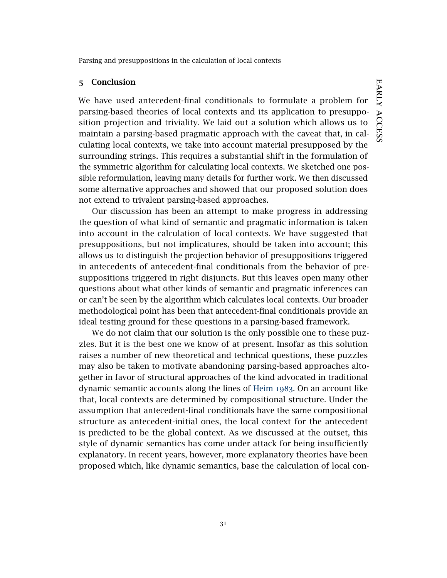### 5 Conclusion

We have used antecedent-final conditionals to formulate a problem for parsing-based theories of local contexts and its application to presupposition projection and triviality. We laid out a solution which allows us to maintain a parsing-based pragmatic approach with the caveat that, in calculating local contexts, we take into account material presupposed by the surrounding strings. This requires a substantial shift in the formulation of the symmetric algorithm for calculating local contexts. We sketched one possible reformulation, leaving many details for further work. We then discussed some alternative approaches and showed that our proposed solution does not extend to trivalent parsing-based approaches.

Our discussion has been an attempt to make progress in addressing the question of what kind of semantic and pragmatic information is taken into account in the calculation of local contexts. We have suggested that presuppositions, but not implicatures, should be taken into account; this allows us to distinguish the projection behavior of presuppositions triggered in antecedents of antecedent-final conditionals from the behavior of presuppositions triggered in right disjuncts. But this leaves open many other questions about what other kinds of semantic and pragmatic inferences can or can't be seen by the algorithm which calculates local contexts. Our broader methodological point has been that antecedent-final conditionals provide an ideal testing ground for these questions in a parsing-based framework.

We do not claim that our solution is the only possible one to these puzzles. But it is the best one we know of at present. Insofar as this solution raises a number of new theoretical and technical questions, these puzzles may also be taken to motivate abandoning parsing-based approaches altogether in favor of structural approaches of the kind advocated in traditional dynamic semantic accounts along the lines of [Heim](#page-38-5) [1983](#page-38-5). On an account like that, local contexts are determined by compositional structure. Under the assumption that antecedent-final conditionals have the same compositional structure as antecedent-initial ones, the local context for the antecedent is predicted to be the global context. As we discussed at the outset, this style of dynamic semantics has come under attack for being insufficiently explanatory. In recent years, however, more explanatory theories have been proposed which, like dynamic semantics, base the calculation of local con-

EARLY ACCESS early access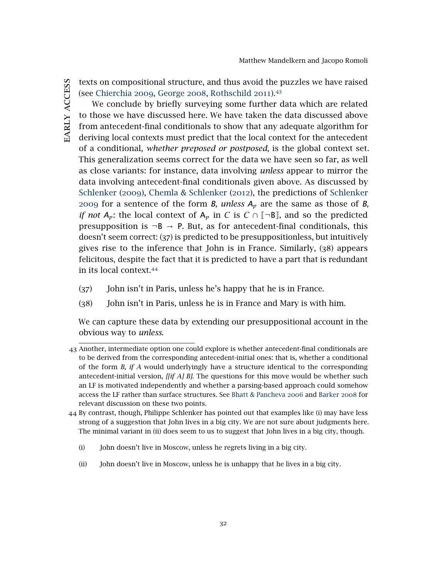texts on compositional structure, and thus avoid the puzzles we have raised (see [Chierchia](#page-37-1) [2009](#page-37-1), [George](#page-38-0) [2008](#page-38-0), [Rothschild](#page-39-3) [2011](#page-39-3)).[43](#page-32-0)

We conclude by briefly surveying some further data which are related to those we have discussed here. We have taken the data discussed above from antecedent-final conditionals to show that any adequate algorithm for deriving local contexts must predict that the local context for the antecedent of a conditional, *whether preposed or postposed*, is the global context set. This generalization seems correct for the data we have seen so far, as well as close variants: for instance, data involving *unless* appear to mirror the data involving antecedent-final conditionals given above. As discussed by [Schlenker](#page-39-0) ([2009](#page-39-0)), [Chemla & Schlenker](#page-37-4) ([2012](#page-37-4)), the predictions of [Schlenker](#page-39-0) [2009](#page-39-0) for a sentence of the form *B, unless*  $A_p$  are the same as those of *B, if not*  $A_p$ : the local context of  $A_p$  in *C* is  $C \cap \llbracket \neg B \rrbracket$ , and so the predicted presupposition is  $\neg B \rightarrow P$ . But, as for antecedent-final conditionals, this doesn't seem correct: (37) is predicted to be presuppositionless, but intuitively gives rise to the inference that John is in France. Similarly, (38) appears felicitous, despite the fact that it is predicted to have a part that is redundant in its local context.[44](#page-32-1)

- (37) John isn't in Paris, unless he's happy that he is in France.
- (38) John isn't in Paris, unless he is in France and Mary is with him.

We can capture these data by extending our presuppositional account in the obvious way to *unless*.

- (i) John doesn't live in Moscow, unless he regrets living in a big city.
- (ii) John doesn't live in Moscow, unless he is unhappy that he lives in a big city.

<span id="page-32-0"></span><sup>43</sup> Another, intermediate option one could explore is whether antecedent-final conditionals are to be derived from the corresponding antecedent-initial ones: that is, whether a conditional of the form *B, if A* would underlyingly have a structure identical to the corresponding antecedent-initial version, *[[if A] B]*. The questions for this move would be whether such an LF is motivated independently and whether a parsing-based approach could somehow access the LF rather than surface structures. See [Bhatt & Pancheva](#page-37-9) [2006](#page-37-9) and [Barker](#page-36-3) [2008](#page-36-3) for relevant discussion on these two points.

<span id="page-32-1"></span><sup>44</sup> By contrast, though, Philippe Schlenker has pointed out that examples like (i) may have less strong of a suggestion that John lives in a big city. We are not sure about judgments here. The minimal variant in (ii) does seem to us to suggest that John lives in a big city, though.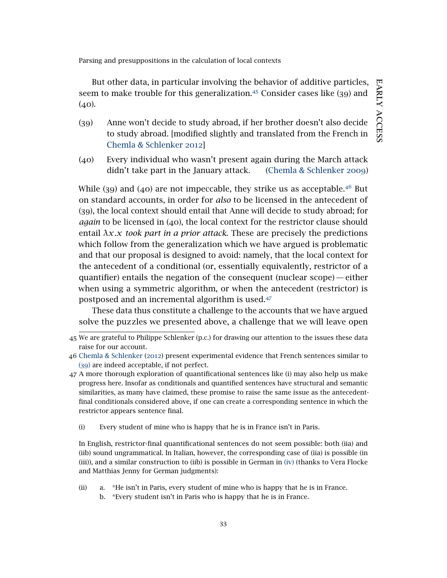But other data, in particular involving the behavior of additive particles, seem to make trouble for this generalization.<sup>[45](#page-33-0)</sup> Consider cases like (39) and  $(40).$ 

- <span id="page-33-3"></span>(39) Anne won't decide to study abroad, if her brother doesn't also decide to study abroad. [modified slightly and translated from the French in [Chemla & Schlenker](#page-37-4) [2012](#page-37-4)]
- (40) Every individual who wasn't present again during the March attack didn't take part in the January attack. [\(Chemla & Schlenker](#page-37-10) [2009](#page-37-10))

While (39) and (40) are not impeccable, they strike us as acceptable.<sup>[46](#page-33-1)</sup> But on standard accounts, in order for *also* to be licensed in the antecedent of (39), the local context should entail that Anne will decide to study abroad; for *again* to be licensed in (40), the local context for the restrictor clause should entail  $\lambda x.x$  *took part in a prior attack*. These are precisely the predictions which follow from the generalization which we have argued is problematic and that our proposal is designed to avoid: namely, that the local context for the antecedent of a conditional (or, essentially equivalently, restrictor of a quantifier) entails the negation of the consequent (nuclear scope)— either when using a symmetric algorithm, or when the antecedent (restrictor) is postposed and an incremental algorithm is used.[47](#page-33-2)

These data thus constitute a challenge to the accounts that we have argued solve the puzzles we presented above, a challenge that we will leave open

(i) Every student of mine who is happy that he is in France isn't in Paris.

In English, restrictor-final quantificational sentences do not seem possible: both (iia) and (iib) sound ungrammatical. In Italian, however, the corresponding case of (iia) is possible (in (iii)), and a similar construction to (iib) is possible in German in [\(iv\)](#page-34-0) (thanks to Vera Flocke and Matthias Jenny for German judgments):

- (ii) a. \*He isn't in Paris, every student of mine who is happy that he is in France.
	- b. \*Every student isn't in Paris who is happy that he is in France.

<span id="page-33-0"></span><sup>45</sup> We are grateful to Philippe Schlenker (p.c.) for drawing our attention to the issues these data raise for our account.

<span id="page-33-1"></span><sup>46</sup> [Chemla & Schlenker](#page-37-4) ([2012](#page-37-4)) present experimental evidence that French sentences similar to ([39](#page-33-3)) are indeed acceptable, if not perfect.

<span id="page-33-2"></span><sup>47</sup> A more thorough exploration of quantificational sentences like (i) may also help us make progress here. Insofar as conditionals and quantified sentences have structural and semantic similarities, as many have claimed, these promise to raise the same issue as the antecedentfinal conditionals considered above, if one can create a corresponding sentence in which the restrictor appears sentence final.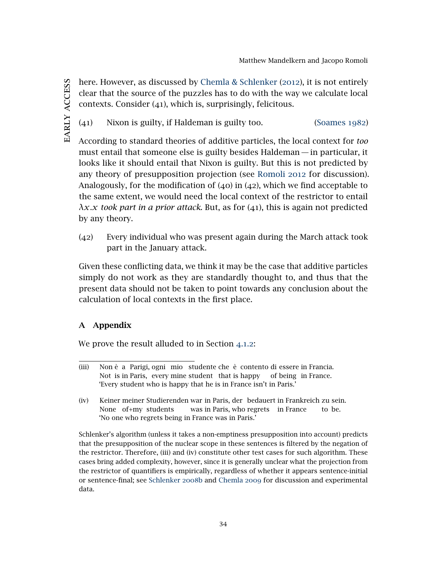here. However, as discussed by [Chemla & Schlenker](#page-37-4) ([2012](#page-37-4)), it is not entirely clear that the source of the puzzles has to do with the way we calculate local contexts. Consider (41), which is, surprisingly, felicitous.

(41) Nixon is guilty, if Haldeman is guilty too. [\(Soames](#page-40-12) [1982](#page-40-12))

According to standard theories of additive particles, the local context for *too* must entail that someone else is guilty besides Haldeman— in particular, it looks like it should entail that Nixon is guilty. But this is not predicted by any theory of presupposition projection (see [Romoli](#page-39-14) [2012](#page-39-14) for discussion). Analogously, for the modification of  $(40)$  in  $(42)$ , which we find acceptable to the same extent, we would need the local context of the restrictor to entail *λx.x took part in a prior attack*. But, as for (41), this is again not predicted by any theory.

(42) Every individual who was present again during the March attack took part in the January attack.

Given these conflicting data, we think it may be the case that additive particles simply do not work as they are standardly thought to, and thus that the present data should not be taken to point towards any conclusion about the calculation of local contexts in the first place.

# A Appendix

<span id="page-34-1"></span>We prove the result alluded to in Section [4](#page-12-1).1.2:

Schlenker's algorithm (unless it takes a non-emptiness presupposition into account) predicts that the presupposition of the nuclear scope in these sentences is filtered by the negation of the restrictor. Therefore, (iii) and (iv) constitute other test cases for such algorithm. These cases bring added complexity, however, since it is generally unclear what the projection from the restrictor of quantifiers is empirically, regardless of whether it appears sentence-initial or sentence-final; see [Schlenker](#page-39-15) [2008](#page-39-15)b and [Chemla](#page-37-11) [2009](#page-37-11) for discussion and experimental data.

<sup>(</sup>iii) Non è a Parigi, ogni mio studente che è contento di essere in Francia. Not is in Paris, every mine student that is happy of being in France. 'Every student who is happy that he is in France isn't in Paris.'

<span id="page-34-0"></span><sup>(</sup>iv) Keiner meiner Studierenden war in Paris, der bedauert in Frankreich zu sein. None of+my students was in Paris, who regrets in France to be. 'No one who regrets being in France was in Paris.'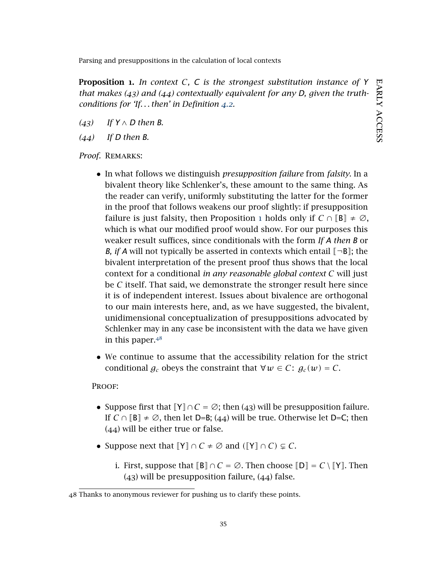Proposition 1. *In context C, C is the strongest substitution instance of Y that makes (43) and (44) contextually equivalent for any D, given the truthconditions for 'If. . .then' in Definition [4](#page-12-0).2.*

- *(43) If Y* ∧ *D then B.*
- *(44) If D then B.*

Proof. REMARKS:

- In what follows we distinguish *presupposition failure* from *falsity*. In a bivalent theory like Schlenker's, these amount to the same thing. As the reader can verify, uniformly substituting the latter for the former in the proof that follows weakens our proof slightly: if presupposition failure is just falsity, then Proposition [1](#page-34-1) holds only if  $C \cap \mathbb{B} \neq \emptyset$ , which is what our modified proof would show. For our purposes this weaker result suffices, since conditionals with the form *If A then B* or *B*, *if A* will not typically be asserted in contexts which entail  $\lceil \neg B \rceil$ ; the bivalent interpretation of the present proof thus shows that the local context for a conditional *in any reasonable global context C* will just be *C* itself. That said, we demonstrate the stronger result here since it is of independent interest. Issues about bivalence are orthogonal to our main interests here, and, as we have suggested, the bivalent, unidimensional conceptualization of presuppositions advocated by Schlenker may in any case be inconsistent with the data we have given in this paper. $48$
- We continue to assume that the accessibility relation for the strict conditional  $g_c$  obeys the constraint that  $\forall w \in C$ :  $g_c(w) = C$ .

#### PROOF:

- Suppose first that  $\mathbb{Y} \cap C = \emptyset$ ; then (43) will be presupposition failure. If *C* ∩  $\mathbb{B}$  ≠  $\emptyset$ , then let D=B; (44) will be true. Otherwise let D=C; then (44) will be either true or false.
- Suppose next that  $[Y] \cap C \neq \emptyset$  and  $([Y] \cap C) \subsetneq C$ .
	- i. First, suppose that  $[**B**] ∩ C = ∅$ . Then choose  $[**D**] = C \setminus [**Y**]$ . Then  $(43)$  will be presupposition failure,  $(44)$  false.

<span id="page-35-0"></span><sup>48</sup> Thanks to anonymous reviewer for pushing us to clarify these points.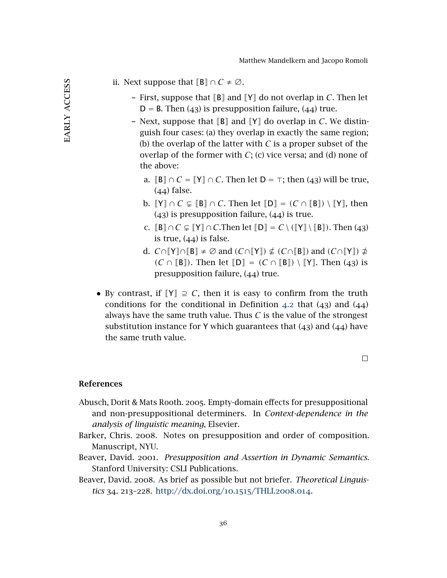- ii. Next suppose that  $\mathbb{B} \cap C \neq \emptyset$ .
	- First, suppose that  $\mathbb{B}$  and  $\mathbb{Y}$  do not overlap in *C*. Then let  $D = B$ . Then (43) is presupposition failure, (44) true.
	- Next, suppose that  $\mathbb{B}$  and  $\mathbb{Y}$  do overlap in *C*. We distinguish four cases: (a) they overlap in exactly the same region; (b) the overlap of the latter with *C* is a proper subset of the overlap of the former with *C*; (c) vice versa; and (d) none of the above:
		- a.  $[B] \cap C = [Y] \cap C$ . Then let  $D = \top$ ; then (43) will be true, (44) false.
		- **b.**  $\lbrack \lbrack Y \rbrack \rbrack \cap C \subsetneq \lbrack \lbrack B \rbrack \rbrack \cap C$ . Then let  $\lbrack \lbrack D \rbrack \rbrack = (C \cap \lbrack \lbrack B \rbrack \rbrack) \setminus \lbrack \lbrack Y \rbrack \rbrack$ , then (43) is presupposition failure, (44) is true.
		- c.  $[**B**] ∩ C ⊆ [**Y**] ∩ C$ . Then let  $[**D**] = C \setminus ([**Y**] \setminus [**B**]).$  Then (43) is true,  $(44)$  is false.
		- d. *C*∩ $\lceil Y \rceil$ ∩ $\lceil B \rceil$  ≠  $\emptyset$  and  $(C \cap \lceil Y \rceil) \nsubseteq (C \cap \lceil B \rceil)$  and  $(C \cap \lceil Y \rceil) \nsubseteq$ *(C* ∩  $[$ **B** $]$ ). Then let  $[$ **D** $]$  = *(C* ∩  $[$ **B** $]$ ) \  $[$ Y $]$ . Then (43) is presupposition failure, (44) true.
- By contrast, if  $[Y] \supseteq C$ , then it is easy to confirm from the truth conditions for the conditional in Definition [4](#page-12-0).2 that  $(43)$  and  $(44)$ always have the same truth value. Thus *C* is the value of the strongest substitution instance for Y which guarantees that  $(43)$  and  $(44)$  have the same truth value.

 $\Box$ 

#### References

- <span id="page-36-2"></span>Abusch, Dorit & Mats Rooth. 2005. Empty-domain effects for presuppositional and non-presuppositional determiners. In *Context-dependence in the analysis of linguistic meaning*, Elsevier.
- <span id="page-36-3"></span>Barker, Chris. 2008. Notes on presupposition and order of composition. Manuscript, NYU.
- <span id="page-36-0"></span>Beaver, David. 2001. *Presupposition and Assertion in Dynamic Semantics*. Stanford University: CSLI Publications.
- <span id="page-36-1"></span>Beaver, David. 2008. As brief as possible but not briefer. *Theoretical Linguistics* 34. 213–228. [http://dx.doi.org/](http://dx.doi.org/10.1515/THLI.2008.014)10.1515/THLI.2008.014.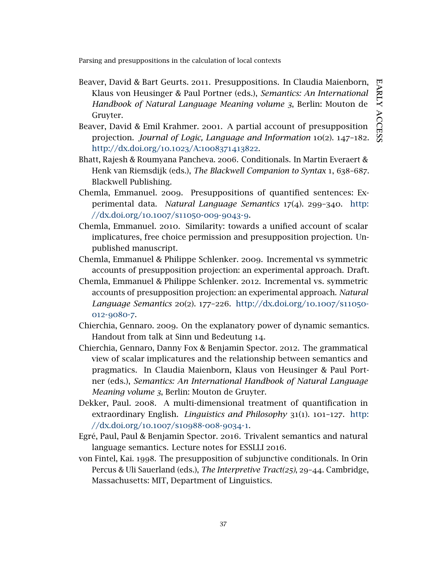- <span id="page-37-7"></span>Beaver, David & Bart Geurts. 2011. Presuppositions. In Claudia Maienborn, Klaus von Heusinger & Paul Portner (eds.), *Semantics: An International Handbook of Natural Language Meaning volume 3*, Berlin: Mouton de Gruyter.
- <span id="page-37-3"></span>Beaver, David & Emil Krahmer. 2001. A partial account of presupposition projection. *Journal of Logic, Language and Information* 10(2). 147–182. [http://dx.doi.org/](http://dx.doi.org/10.1023/A:1008371413822)10.1023/A:1008371413822.
- <span id="page-37-9"></span>Bhatt, Rajesh & Roumyana Pancheva. 2006. Conditionals. In Martin Everaert & Henk van Riemsdijk (eds.), *The Blackwell Companion to Syntax* 1, 638–687. Blackwell Publishing.
- <span id="page-37-11"></span>Chemla, Emmanuel. 2009. Presuppositions of quantified sentences: Experimental data. *Natural Language Semantics* 17(4). 299–340. [http:](http://dx.doi.org/10.1007/s11050-009-9043-9) [//dx.doi.org/](http://dx.doi.org/10.1007/s11050-009-9043-9)10.1007/s11050-009-9043-9.
- <span id="page-37-0"></span>Chemla, Emmanuel. 2010. Similarity: towards a unified account of scalar implicatures, free choice permission and presupposition projection. Unpublished manuscript.
- <span id="page-37-10"></span>Chemla, Emmanuel & Philippe Schlenker. 2009. Incremental vs symmetric accounts of presupposition projection: an experimental approach. Draft.
- <span id="page-37-4"></span>Chemla, Emmanuel & Philippe Schlenker. 2012. Incremental vs. symmetric accounts of presupposition projection: an experimental approach. *Natural Language Semantics* 20(2). 177–226. [http://dx.doi.org/](http://dx.doi.org/10.1007/s11050-012-9080-7)10.1007/s11050- 012-[9080](http://dx.doi.org/10.1007/s11050-012-9080-7)-7.
- <span id="page-37-1"></span>Chierchia, Gennaro. 2009. On the explanatory power of dynamic semantics. Handout from talk at Sinn und Bedeutung 14.
- <span id="page-37-2"></span>Chierchia, Gennaro, Danny Fox & Benjamin Spector. 2012. The grammatical view of scalar implicatures and the relationship between semantics and pragmatics. In Claudia Maienborn, Klaus von Heusinger & Paul Portner (eds.), *Semantics: An International Handbook of Natural Language Meaning volume 3*, Berlin: Mouton de Gruyter.
- <span id="page-37-6"></span>Dekker, Paul. 2008. A multi-dimensional treatment of quantification in extraordinary English. *Linguistics and Philosophy* 31(1). 101–127. [http:](http://dx.doi.org/10.1007/s10988-008-9034-1) [//dx.doi.org/](http://dx.doi.org/10.1007/s10988-008-9034-1)10.1007/s10988-008-9034-1.
- <span id="page-37-8"></span>Egré, Paul, Paul & Benjamin Spector. 2016. Trivalent semantics and natural language semantics. Lecture notes for ESSLLI 2016.
- <span id="page-37-5"></span>von Fintel, Kai. 1998. The presupposition of subjunctive conditionals. In Orin Percus & Uli Sauerland (eds.), *The Interpretive Tract(25)*, 29–44. Cambridge, Massachusetts: MIT, Department of Linguistics.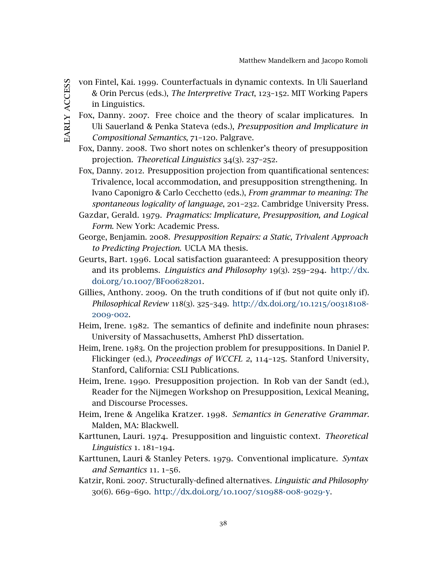- <span id="page-38-9"></span>EARLY ACCESS early access
- von Fintel, Kai. 1999. Counterfactuals in dynamic contexts. In Uli Sauerland & Orin Percus (eds.), *The Interpretive Tract*, 123–152. MIT Working Papers in Linguistics.
- <span id="page-38-14"></span>Fox, Danny. 2007. Free choice and the theory of scalar implicatures. In Uli Sauerland & Penka Stateva (eds.), *Presupposition and Implicature in Compositional Semantics*, 71–120. Palgrave.
- <span id="page-38-1"></span>Fox, Danny. 2008. Two short notes on schlenker's theory of presupposition projection. *Theoretical Linguistics* 34(3). 237–252.
- <span id="page-38-2"></span>Fox, Danny. 2012. Presupposition projection from quantificational sentences: Trivalence, local accommodation, and presupposition strengthening. In Ivano Caponigro & Carlo Cecchetto (eds.), *From grammar to meaning: The spontaneous logicality of language*, 201–232. Cambridge University Press.
- <span id="page-38-12"></span>Gazdar, Gerald. 1979. *Pragmatics: Implicature, Presupposition, and Logical Form*. New York: Academic Press.
- <span id="page-38-0"></span>George, Benjamin. 2008. *Presupposition Repairs: a Static, Trivalent Approach to Predicting Projection*. UCLA MA thesis.
- <span id="page-38-6"></span>Geurts, Bart. 1996. Local satisfaction guaranteed: A presupposition theory and its problems. *Linguistics and Philosophy* 19(3). 259–294. [http://dx.](http://dx.doi.org/10.1007/BF00628201) doi.org/10.1007/BF[00628201](http://dx.doi.org/10.1007/BF00628201).
- <span id="page-38-10"></span>Gillies, Anthony. 2009. On the truth conditions of if (but not quite only if). *Philosophical Review* 118(3). 325–349. [http://dx.doi.org/](http://dx.doi.org/10.1215/00318108-2009-002)10.1215/00318108- [2009](http://dx.doi.org/10.1215/00318108-2009-002)-002.
- <span id="page-38-8"></span>Heim, Irene. 1982. The semantics of definite and indefinite noun phrases: University of Massachusetts, Amherst PhD dissertation.
- <span id="page-38-5"></span>Heim, Irene. 1983. On the projection problem for presuppositions. In Daniel P. Flickinger (ed.), *Proceedings of WCCFL 2*, 114–125. Stanford University, Stanford, California: CSLI Publications.
- <span id="page-38-3"></span>Heim, Irene. 1990. Presupposition projection. In Rob van der Sandt (ed.), Reader for the Nijmegen Workshop on Presupposition, Lexical Meaning, and Discourse Processes.
- <span id="page-38-11"></span>Heim, Irene & Angelika Kratzer. 1998. *Semantics in Generative Grammar*. Malden, MA: Blackwell.
- <span id="page-38-4"></span>Karttunen, Lauri. 1974. Presupposition and linguistic context. *Theoretical Linguistics* 1. 181–194.
- <span id="page-38-13"></span>Karttunen, Lauri & Stanley Peters. 1979. Conventional implicature. *Syntax and Semantics* 11. 1–56.
- <span id="page-38-7"></span>Katzir, Roni. 2007. Structurally-defined alternatives. *Linguistic and Philosophy* 30(6). 669–690. [http://dx.doi.org/](http://dx.doi.org/10.1007/s10988-008-9029-y)10.1007/s10988-008-9029-y.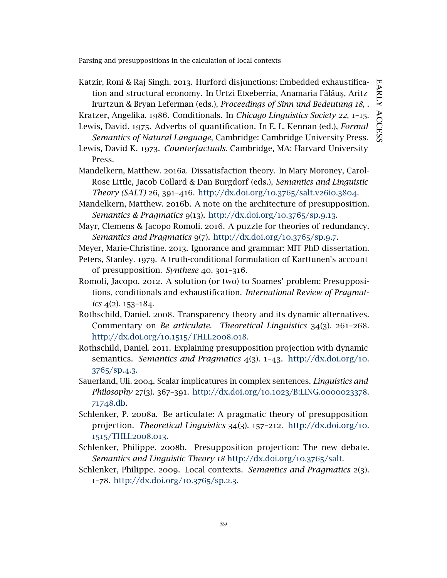EARLY early **ACCESS** access

Parsing and presuppositions in the calculation of local contexts

<span id="page-39-8"></span>Katzir, Roni & Raj Singh. 2013. Hurford disjunctions: Embedded exhaustification and structural economy. In Urtzi Etxeberria, Anamaria Fǎlǎuş, Aritz Irurtzun & Bryan Leferman (eds.), *Proceedings of Sinn und Bedeutung 18*, .

<span id="page-39-10"></span><span id="page-39-9"></span>Kratzer, Angelika. 1986. Conditionals. In *Chicago Linguistics Society 22*, 1–15. Lewis, David. 1975. Adverbs of quantification. In E. L. Kennan (ed.), *Formal*

<span id="page-39-13"></span>*Semantics of Natural Language*, Cambridge: Cambridge University Press. Lewis, David K. 1973. *Counterfactuals*. Cambridge, MA: Harvard University

- Press.
- <span id="page-39-11"></span>Mandelkern, Matthew. 2016a. Dissatisfaction theory. In Mary Moroney, Carol-Rose Little, Jacob Collard & Dan Burgdorf (eds.), *Semantics and Linguistic Theory (SALT)* 26, 391–416. [http://dx.doi.org/](http://dx.doi.org/10.3765/salt.v26i0.3804)10.3765/salt.v26i0.3804.
- <span id="page-39-5"></span>Mandelkern, Matthew. 2016b. A note on the architecture of presupposition. *Semantics & Pragmatics* 9(13). [http://dx.doi.org/](http://dx.doi.org/10.3765/sp.9.13)10.3765/sp.9.13.
- <span id="page-39-6"></span>Mayr, Clemens & Jacopo Romoli. 2016. A puzzle for theories of redundancy. *Semantics and Pragmatics* 9(7). [http://dx.doi.org/](http://dx.doi.org/10.3765/sp.9.7)10.3765/sp.9.7.

<span id="page-39-7"></span>Meyer, Marie-Christine. 2013. Ignorance and grammar: MIT PhD dissertation.

<span id="page-39-4"></span>Peters, Stanley. 1979. A truth-conditional formulation of Karttunen's account of presupposition. *Synthese* 40. 301–316.

- <span id="page-39-14"></span>Romoli, Jacopo. 2012. A solution (or two) to Soames' problem: Presuppositions, conditionals and exhaustification. *International Review of Pragmatics* 4(2). 153–184.
- <span id="page-39-2"></span>Rothschild, Daniel. 2008. Transparency theory and its dynamic alternatives. Commentary on *Be articulate*. *Theoretical Linguistics* 34(3). 261–268. [http://dx.doi.org/](http://dx.doi.org/10.1515/THLI.2008.018)10.1515/THLI.2008.018.
- <span id="page-39-3"></span>Rothschild, Daniel. 2011. Explaining presupposition projection with dynamic semantics. *Semantics and Pragmatics* 4(3). 1–43. [http://dx.doi.org/](http://dx.doi.org/10.3765/sp.4.3)10. [3765](http://dx.doi.org/10.3765/sp.4.3)/sp.4.3.
- <span id="page-39-12"></span>Sauerland, Uli. 2004. Scalar implicatures in complex sentences. *Linguistics and Philosophy* 27(3). 367–391. [http://dx.doi.org/](http://dx.doi.org/10.1023/B:LING.0000023378.71748.db)10.1023/B:LING.0000023378. [71748](http://dx.doi.org/10.1023/B:LING.0000023378.71748.db).db.
- <span id="page-39-1"></span>Schlenker, P. 2008a. Be articulate: A pragmatic theory of presupposition projection. *Theoretical Linguistics* 34(3). 157–212. [http://dx.doi.org/](http://dx.doi.org/10.1515/THLI.2008.013)10. 1515[/THLI.](http://dx.doi.org/10.1515/THLI.2008.013)2008.013.
- <span id="page-39-15"></span>Schlenker, Philippe. 2008b. Presupposition projection: The new debate. *Semantics and Linguistic Theory 18* [http://dx.doi.org/](http://dx.doi.org/10.3765/salt)10.3765/salt.
- <span id="page-39-0"></span>Schlenker, Philippe. 2009. Local contexts. *Semantics and Pragmatics* 2(3). 1–78. [http://dx.doi.org/](http://dx.doi.org/10.3765/sp.2.3)10.3765/sp.2.3.